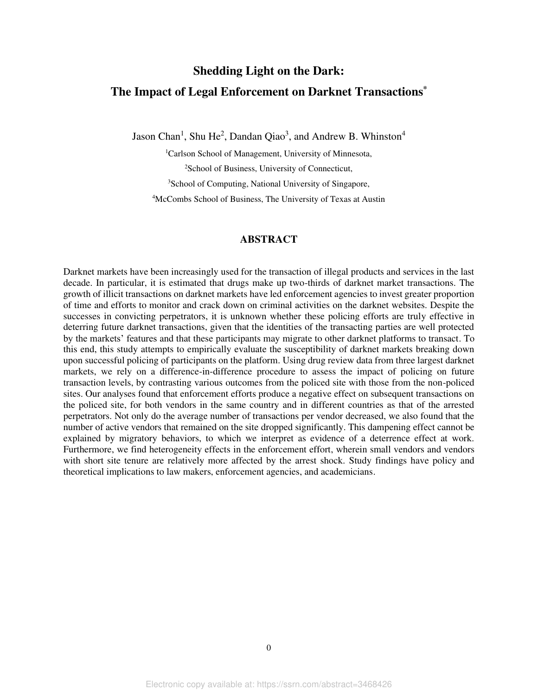# **Shedding Light on the Dark: The Impact of Legal Enforcement on Darknet Transactions\***

Jason Chan<sup>1</sup>, Shu He<sup>2</sup>, Dandan Qiao<sup>3</sup>, and Andrew B. Whinston<sup>4</sup>

<sup>1</sup>Carlson School of Management, University of Minnesota, School of Business, University of Connecticut, School of Computing, National University of Singapore, McCombs School of Business, The University of Texas at Austin

### **ABSTRACT**

Darknet markets have been increasingly used for the transaction of illegal products and services in the last decade. In particular, it is estimated that drugs make up two-thirds of darknet market transactions. The growth of illicit transactions on darknet markets have led enforcement agencies to invest greater proportion of time and efforts to monitor and crack down on criminal activities on the darknet websites. Despite the successes in convicting perpetrators, it is unknown whether these policing efforts are truly effective in deterring future darknet transactions, given that the identities of the transacting parties are well protected by the markets' features and that these participants may migrate to other darknet platforms to transact. To this end, this study attempts to empirically evaluate the susceptibility of darknet markets breaking down upon successful policing of participants on the platform. Using drug review data from three largest darknet markets, we rely on a difference-in-difference procedure to assess the impact of policing on future transaction levels, by contrasting various outcomes from the policed site with those from the non-policed sites. Our analyses found that enforcement efforts produce a negative effect on subsequent transactions on the policed site, for both vendors in the same country and in different countries as that of the arrested perpetrators. Not only do the average number of transactions per vendor decreased, we also found that the number of active vendors that remained on the site dropped significantly. This dampening effect cannot be explained by migratory behaviors, to which we interpret as evidence of a deterrence effect at work. Furthermore, we find heterogeneity effects in the enforcement effort, wherein small vendors and vendors with short site tenure are relatively more affected by the arrest shock. Study findings have policy and theoretical implications to law makers, enforcement agencies, and academicians.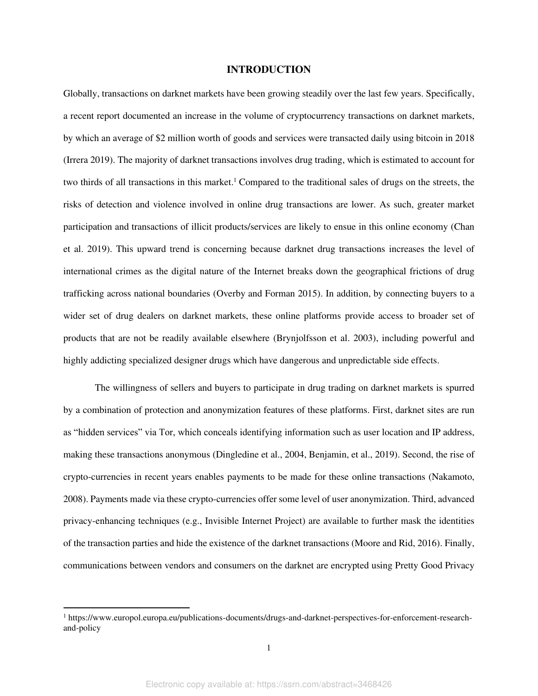#### **INTRODUCTION**

Globally, transactions on darknet markets have been growing steadily over the last few years. Specifically, a recent report documented an increase in the volume of cryptocurrency transactions on darknet markets, by which an average of \$2 million worth of goods and services were transacted daily using bitcoin in 2018 (Irrera 2019). The majority of darknet transactions involves drug trading, which is estimated to account for two thirds of all transactions in this market.<sup>1</sup> Compared to the traditional sales of drugs on the streets, the risks of detection and violence involved in online drug transactions are lower. As such, greater market participation and transactions of illicit products/services are likely to ensue in this online economy (Chan et al. 2019). This upward trend is concerning because darknet drug transactions increases the level of international crimes as the digital nature of the Internet breaks down the geographical frictions of drug trafficking across national boundaries (Overby and Forman 2015). In addition, by connecting buyers to a wider set of drug dealers on darknet markets, these online platforms provide access to broader set of products that are not be readily available elsewhere (Brynjolfsson et al. 2003), including powerful and highly addicting specialized designer drugs which have dangerous and unpredictable side effects.

The willingness of sellers and buyers to participate in drug trading on darknet markets is spurred by a combination of protection and anonymization features of these platforms. First, darknet sites are run as "hidden services" via Tor, which conceals identifying information such as user location and IP address, making these transactions anonymous (Dingledine et al., 2004, Benjamin, et al., 2019). Second, the rise of crypto-currencies in recent years enables payments to be made for these online transactions (Nakamoto, 2008). Payments made via these crypto-currencies offer some level of user anonymization. Third, advanced privacy-enhancing techniques (e.g., Invisible Internet Project) are available to further mask the identities of the transaction parties and hide the existence of the darknet transactions (Moore and Rid, 2016). Finally, communications between vendors and consumers on the darknet are encrypted using Pretty Good Privacy

<sup>&</sup>lt;sup>1</sup> https://www.europol.europa.eu/publications-documents/drugs-and-darknet-perspectives-for-enforcement-researchand-policy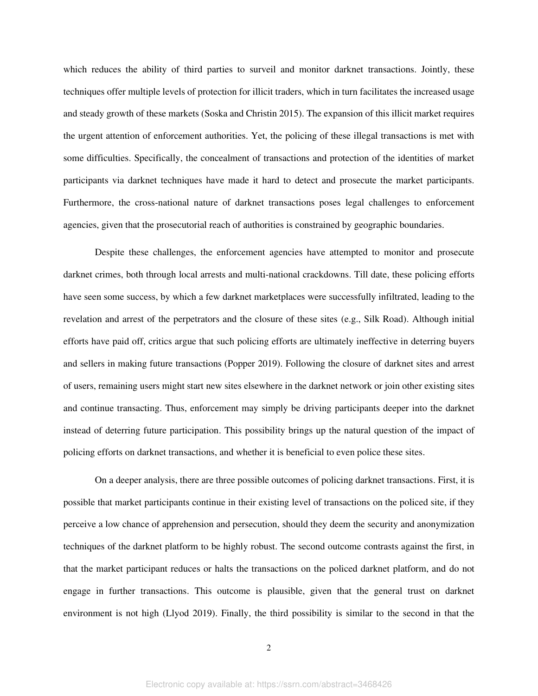which reduces the ability of third parties to surveil and monitor darknet transactions. Jointly, these techniques offer multiple levels of protection for illicit traders, which in turn facilitates the increased usage and steady growth of these markets (Soska and Christin 2015). The expansion of this illicit market requires the urgent attention of enforcement authorities. Yet, the policing of these illegal transactions is met with some difficulties. Specifically, the concealment of transactions and protection of the identities of market participants via darknet techniques have made it hard to detect and prosecute the market participants. Furthermore, the cross-national nature of darknet transactions poses legal challenges to enforcement agencies, given that the prosecutorial reach of authorities is constrained by geographic boundaries.

Despite these challenges, the enforcement agencies have attempted to monitor and prosecute darknet crimes, both through local arrests and multi-national crackdowns. Till date, these policing efforts have seen some success, by which a few darknet marketplaces were successfully infiltrated, leading to the revelation and arrest of the perpetrators and the closure of these sites (e.g., Silk Road). Although initial efforts have paid off, critics argue that such policing efforts are ultimately ineffective in deterring buyers and sellers in making future transactions (Popper 2019). Following the closure of darknet sites and arrest of users, remaining users might start new sites elsewhere in the darknet network or join other existing sites and continue transacting. Thus, enforcement may simply be driving participants deeper into the darknet instead of deterring future participation. This possibility brings up the natural question of the impact of policing efforts on darknet transactions, and whether it is beneficial to even police these sites.

On a deeper analysis, there are three possible outcomes of policing darknet transactions. First, it is possible that market participants continue in their existing level of transactions on the policed site, if they perceive a low chance of apprehension and persecution, should they deem the security and anonymization techniques of the darknet platform to be highly robust. The second outcome contrasts against the first, in that the market participant reduces or halts the transactions on the policed darknet platform, and do not engage in further transactions. This outcome is plausible, given that the general trust on darknet environment is not high (Llyod 2019). Finally, the third possibility is similar to the second in that the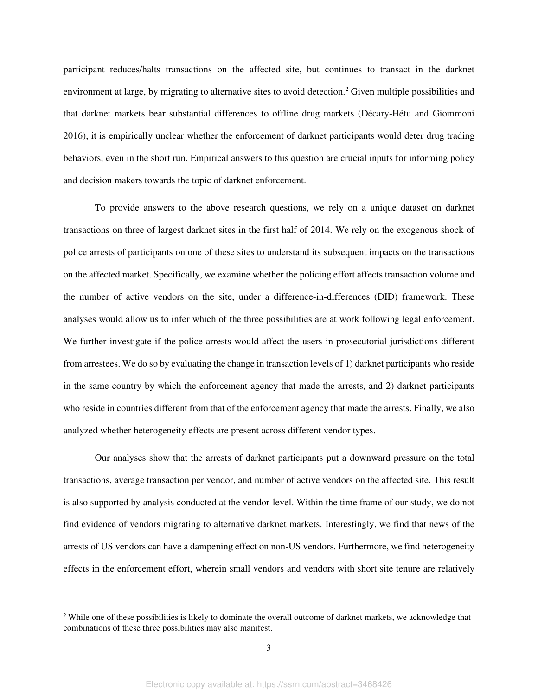participant reduces/halts transactions on the affected site, but continues to transact in the darknet environment at large, by migrating to alternative sites to avoid detection.<sup>2</sup> Given multiple possibilities and that darknet markets bear substantial differences to offline drug markets (Décary-Hétu and Giommoni 2016), it is empirically unclear whether the enforcement of darknet participants would deter drug trading behaviors, even in the short run. Empirical answers to this question are crucial inputs for informing policy and decision makers towards the topic of darknet enforcement.

To provide answers to the above research questions, we rely on a unique dataset on darknet transactions on three of largest darknet sites in the first half of 2014. We rely on the exogenous shock of police arrests of participants on one of these sites to understand its subsequent impacts on the transactions on the affected market. Specifically, we examine whether the policing effort affects transaction volume and the number of active vendors on the site, under a difference-in-differences (DID) framework. These analyses would allow us to infer which of the three possibilities are at work following legal enforcement. We further investigate if the police arrests would affect the users in prosecutorial jurisdictions different from arrestees. We do so by evaluating the change in transaction levels of 1) darknet participants who reside in the same country by which the enforcement agency that made the arrests, and 2) darknet participants who reside in countries different from that of the enforcement agency that made the arrests. Finally, we also analyzed whether heterogeneity effects are present across different vendor types.

Our analyses show that the arrests of darknet participants put a downward pressure on the total transactions, average transaction per vendor, and number of active vendors on the affected site. This result is also supported by analysis conducted at the vendor-level. Within the time frame of our study, we do not find evidence of vendors migrating to alternative darknet markets. Interestingly, we find that news of the arrests of US vendors can have a dampening effect on non-US vendors. Furthermore, we find heterogeneity effects in the enforcement effort, wherein small vendors and vendors with short site tenure are relatively

<sup>&</sup>lt;sup>2</sup> While one of these possibilities is likely to dominate the overall outcome of darknet markets, we acknowledge that combinations of these three possibilities may also manifest.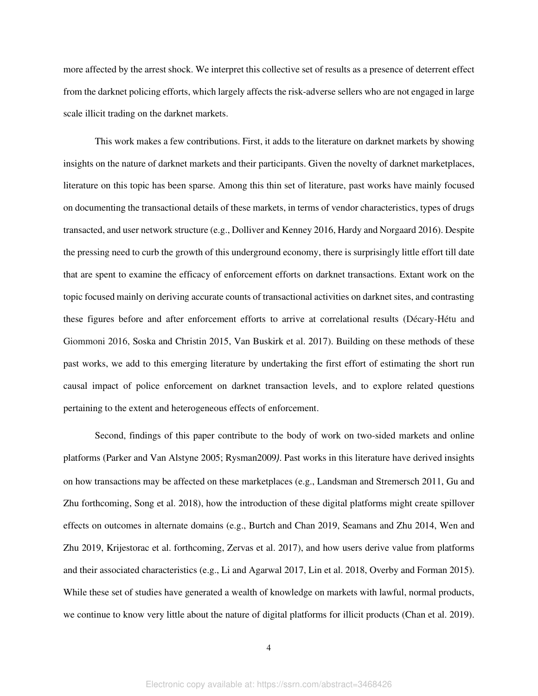more affected by the arrest shock. We interpret this collective set of results as a presence of deterrent effect from the darknet policing efforts, which largely affects the risk-adverse sellers who are not engaged in large scale illicit trading on the darknet markets.

This work makes a few contributions. First, it adds to the literature on darknet markets by showing insights on the nature of darknet markets and their participants. Given the novelty of darknet marketplaces, literature on this topic has been sparse. Among this thin set of literature, past works have mainly focused on documenting the transactional details of these markets, in terms of vendor characteristics, types of drugs transacted, and user network structure (e.g., Dolliver and Kenney 2016, Hardy and Norgaard 2016). Despite the pressing need to curb the growth of this underground economy, there is surprisingly little effort till date that are spent to examine the efficacy of enforcement efforts on darknet transactions. Extant work on the topic focused mainly on deriving accurate counts of transactional activities on darknet sites, and contrasting these figures before and after enforcement efforts to arrive at correlational results (Décary-Hétu and Giommoni 2016, Soska and Christin 2015, Van Buskirk et al. 2017). Building on these methods of these past works, we add to this emerging literature by undertaking the first effort of estimating the short run causal impact of police enforcement on darknet transaction levels, and to explore related questions pertaining to the extent and heterogeneous effects of enforcement.

Second, findings of this paper contribute to the body of work on two-sided markets and online platforms (Parker and Van Alstyne 2005; Rysman2009*)*. Past works in this literature have derived insights on how transactions may be affected on these marketplaces (e.g., Landsman and Stremersch 2011, Gu and Zhu forthcoming, Song et al. 2018), how the introduction of these digital platforms might create spillover effects on outcomes in alternate domains (e.g., Burtch and Chan 2019, Seamans and Zhu 2014, Wen and Zhu 2019, Krijestorac et al. forthcoming, Zervas et al. 2017), and how users derive value from platforms and their associated characteristics (e.g., Li and Agarwal 2017, Lin et al. 2018, Overby and Forman 2015). While these set of studies have generated a wealth of knowledge on markets with lawful, normal products, we continue to know very little about the nature of digital platforms for illicit products (Chan et al. 2019).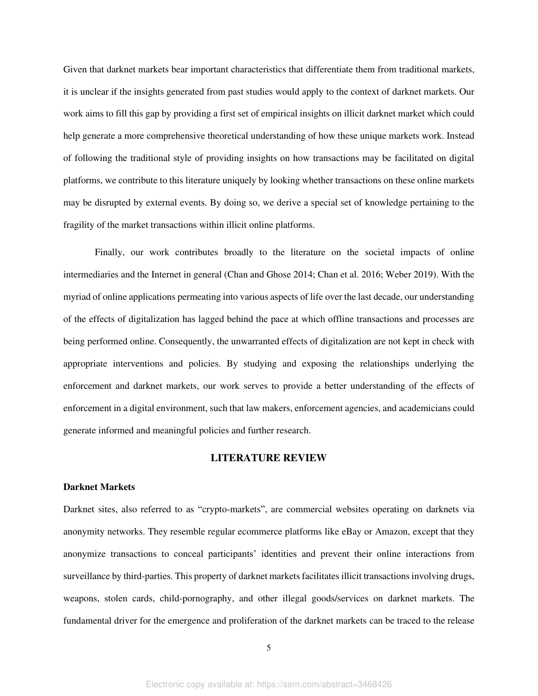Given that darknet markets bear important characteristics that differentiate them from traditional markets, it is unclear if the insights generated from past studies would apply to the context of darknet markets. Our work aims to fill this gap by providing a first set of empirical insights on illicit darknet market which could help generate a more comprehensive theoretical understanding of how these unique markets work. Instead of following the traditional style of providing insights on how transactions may be facilitated on digital platforms, we contribute to this literature uniquely by looking whether transactions on these online markets may be disrupted by external events. By doing so, we derive a special set of knowledge pertaining to the fragility of the market transactions within illicit online platforms.

Finally, our work contributes broadly to the literature on the societal impacts of online intermediaries and the Internet in general (Chan and Ghose 2014; Chan et al. 2016; Weber 2019). With the myriad of online applications permeating into various aspects of life over the last decade, our understanding of the effects of digitalization has lagged behind the pace at which offline transactions and processes are being performed online. Consequently, the unwarranted effects of digitalization are not kept in check with appropriate interventions and policies. By studying and exposing the relationships underlying the enforcement and darknet markets, our work serves to provide a better understanding of the effects of enforcement in a digital environment, such that law makers, enforcement agencies, and academicians could generate informed and meaningful policies and further research.

### **LITERATURE REVIEW**

#### **Darknet Markets**

Darknet sites, also referred to as "crypto-markets", are commercial websites operating on darknets via anonymity networks. They resemble regular ecommerce platforms like eBay or Amazon, except that they anonymize transactions to conceal participants' identities and prevent their online interactions from surveillance by third-parties. This property of darknet markets facilitates illicit transactions involving drugs, weapons, stolen cards, child-pornography, and other illegal goods/services on darknet markets. The fundamental driver for the emergence and proliferation of the darknet markets can be traced to the release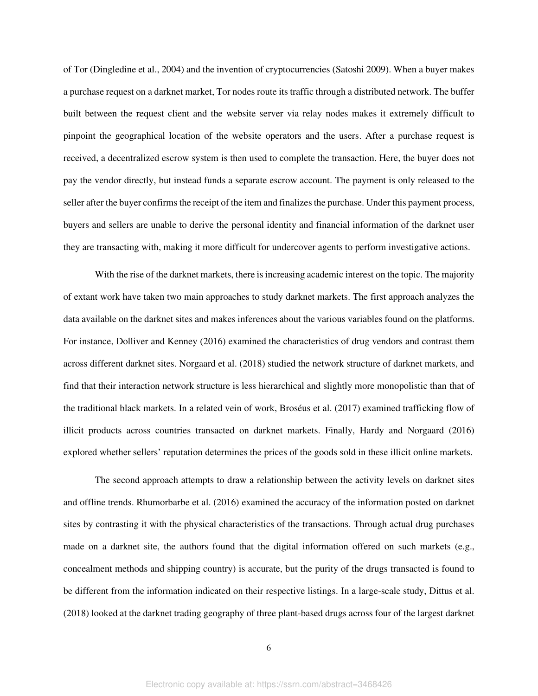of Tor (Dingledine et al., 2004) and the invention of cryptocurrencies (Satoshi 2009). When a buyer makes a purchase request on a darknet market, Tor nodes route its traffic through a distributed network. The buffer built between the request client and the website server via relay nodes makes it extremely difficult to pinpoint the geographical location of the website operators and the users. After a purchase request is received, a decentralized escrow system is then used to complete the transaction. Here, the buyer does not pay the vendor directly, but instead funds a separate escrow account. The payment is only released to the seller after the buyer confirms the receipt of the item and finalizes the purchase. Under this payment process, buyers and sellers are unable to derive the personal identity and financial information of the darknet user they are transacting with, making it more difficult for undercover agents to perform investigative actions.

With the rise of the darknet markets, there is increasing academic interest on the topic. The majority of extant work have taken two main approaches to study darknet markets. The first approach analyzes the data available on the darknet sites and makes inferences about the various variables found on the platforms. For instance, Dolliver and Kenney (2016) examined the characteristics of drug vendors and contrast them across different darknet sites. Norgaard et al. (2018) studied the network structure of darknet markets, and find that their interaction network structure is less hierarchical and slightly more monopolistic than that of the traditional black markets. In a related vein of work, Broséus et al. (2017) examined trafficking flow of illicit products across countries transacted on darknet markets. Finally, Hardy and Norgaard (2016) explored whether sellers' reputation determines the prices of the goods sold in these illicit online markets.

The second approach attempts to draw a relationship between the activity levels on darknet sites and offline trends. Rhumorbarbe et al. (2016) examined the accuracy of the information posted on darknet sites by contrasting it with the physical characteristics of the transactions. Through actual drug purchases made on a darknet site, the authors found that the digital information offered on such markets (e.g., concealment methods and shipping country) is accurate, but the purity of the drugs transacted is found to be different from the information indicated on their respective listings. In a large-scale study, Dittus et al. (2018) looked at the darknet trading geography of three plant-based drugs across four of the largest darknet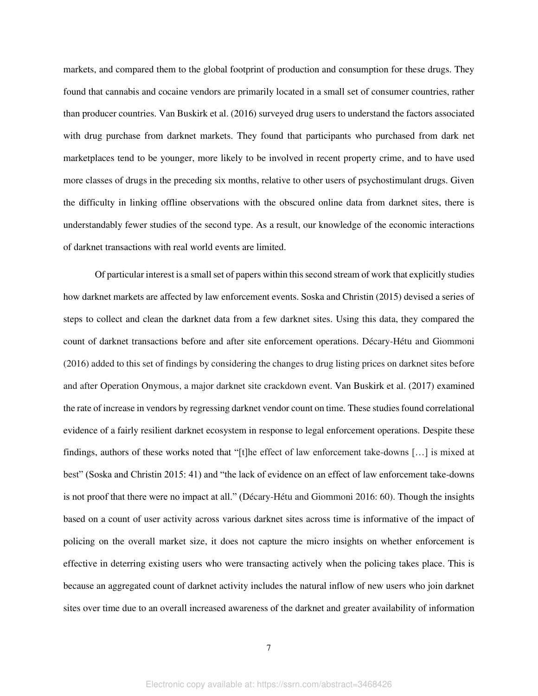markets, and compared them to the global footprint of production and consumption for these drugs. They found that cannabis and cocaine vendors are primarily located in a small set of consumer countries, rather than producer countries. Van Buskirk et al. (2016) surveyed drug users to understand the factors associated with drug purchase from darknet markets. They found that participants who purchased from dark net marketplaces tend to be younger, more likely to be involved in recent property crime, and to have used more classes of drugs in the preceding six months, relative to other users of psychostimulant drugs. Given the difficulty in linking offline observations with the obscured online data from darknet sites, there is understandably fewer studies of the second type. As a result, our knowledge of the economic interactions of darknet transactions with real world events are limited.

Of particular interest is a small set of papers within this second stream of work that explicitly studies how darknet markets are affected by law enforcement events. Soska and Christin (2015) devised a series of steps to collect and clean the darknet data from a few darknet sites. Using this data, they compared the count of darknet transactions before and after site enforcement operations. Décary-Hétu and Giommoni (2016) added to this set of findings by considering the changes to drug listing prices on darknet sites before and after Operation Onymous, a major darknet site crackdown event. Van Buskirk et al. (2017) examined the rate of increase in vendors by regressing darknet vendor count on time. These studies found correlational evidence of a fairly resilient darknet ecosystem in response to legal enforcement operations. Despite these findings, authors of these works noted that "[t]he effect of law enforcement take-downs […] is mixed at best" (Soska and Christin 2015: 41) and "the lack of evidence on an effect of law enforcement take-downs is not proof that there were no impact at all." (Décary-Hétu and Giommoni 2016: 60). Though the insights based on a count of user activity across various darknet sites across time is informative of the impact of policing on the overall market size, it does not capture the micro insights on whether enforcement is effective in deterring existing users who were transacting actively when the policing takes place. This is because an aggregated count of darknet activity includes the natural inflow of new users who join darknet sites over time due to an overall increased awareness of the darknet and greater availability of information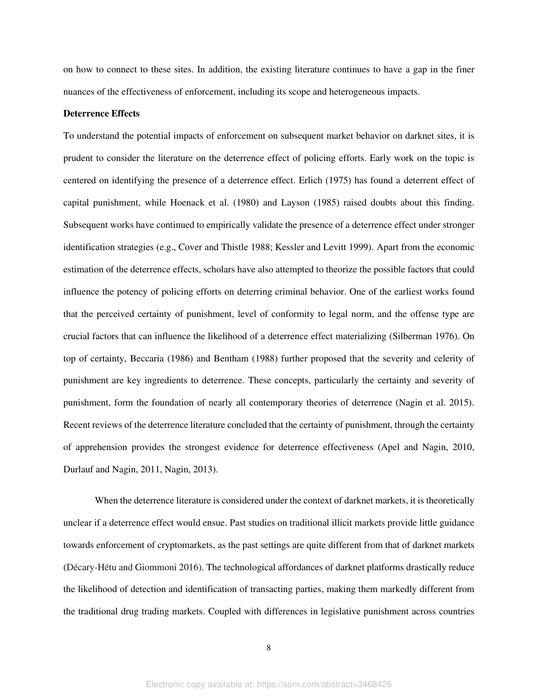on how to connect to these sites. In addition, the existing literature continues to have a gap in the finer nuances of the effectiveness of enforcement, including its scope and heterogeneous impacts.

#### **Deterrence Effects**

To understand the potential impacts of enforcement on subsequent market behavior on darknet sites, it is prudent to consider the literature on the deterrence effect of policing efforts. Early work on the topic is centered on identifying the presence of a deterrence effect. Erlich (1975) has found a deterrent effect of capital punishment, while Hoenack et al. (1980) and Layson (1985) raised doubts about this finding. Subsequent works have continued to empirically validate the presence of a deterrence effect under stronger identification strategies (e.g., Cover and Thistle 1988; Kessler and Levitt 1999). Apart from the economic estimation of the deterrence effects, scholars have also attempted to theorize the possible factors that could influence the potency of policing efforts on deterring criminal behavior. One of the earliest works found that the perceived certainty of punishment, level of conformity to legal norm, and the offense type are crucial factors that can influence the likelihood of a deterrence effect materializing (Silberman 1976). On top of certainty, Beccaria (1986) and Bentham (1988) further proposed that the severity and celerity of punishment are key ingredients to deterrence. These concepts, particularly the certainty and severity of punishment, form the foundation of nearly all contemporary theories of deterrence (Nagin et al. 2015). Recent reviews of the deterrence literature concluded that the certainty of punishment, through the certainty of apprehension provides the strongest evidence for deterrence effectiveness (Apel and Nagin, 2010, Durlauf and Nagin, 2011, Nagin, 2013).

When the deterrence literature is considered under the context of darknet markets, it is theoretically unclear if a deterrence effect would ensue. Past studies on traditional illicit markets provide little guidance towards enforcement of cryptomarkets, as the past settings are quite different from that of darknet markets (Décary-Hétu and Giommoni 2016). The technological affordances of darknet platforms drastically reduce the likelihood of detection and identification of transacting parties, making them markedly different from the traditional drug trading markets. Coupled with differences in legislative punishment across countries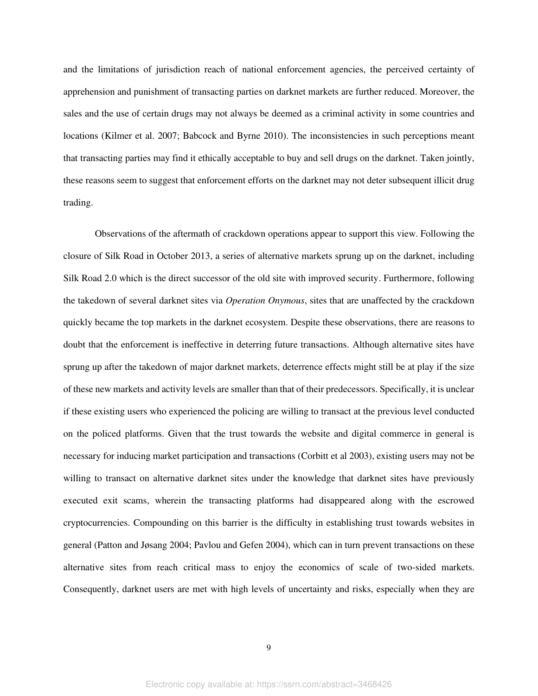and the limitations of jurisdiction reach of national enforcement agencies, the perceived certainty of apprehension and punishment of transacting parties on darknet markets are further reduced. Moreover, the sales and the use of certain drugs may not always be deemed as a criminal activity in some countries and locations (Kilmer et al. 2007; Babcock and Byrne 2010). The inconsistencies in such perceptions meant that transacting parties may find it ethically acceptable to buy and sell drugs on the darknet. Taken jointly, these reasons seem to suggest that enforcement efforts on the darknet may not deter subsequent illicit drug trading.

Observations of the aftermath of crackdown operations appear to support this view. Following the closure of Silk Road in October 2013, a series of alternative markets sprung up on the darknet, including Silk Road 2.0 which is the direct successor of the old site with improved security. Furthermore, following the takedown of several darknet sites via *Operation Onymous*, sites that are unaffected by the crackdown quickly became the top markets in the darknet ecosystem. Despite these observations, there are reasons to doubt that the enforcement is ineffective in deterring future transactions. Although alternative sites have sprung up after the takedown of major darknet markets, deterrence effects might still be at play if the size of these new markets and activity levels are smaller than that of their predecessors. Specifically, it is unclear if these existing users who experienced the policing are willing to transact at the previous level conducted on the policed platforms. Given that the trust towards the website and digital commerce in general is necessary for inducing market participation and transactions (Corbitt et al 2003), existing users may not be willing to transact on alternative darknet sites under the knowledge that darknet sites have previously executed exit scams, wherein the transacting platforms had disappeared along with the escrowed cryptocurrencies. Compounding on this barrier is the difficulty in establishing trust towards websites in general (Patton and Jøsang 2004; Pavlou and Gefen 2004), which can in turn prevent transactions on these alternative sites from reach critical mass to enjoy the economics of scale of two-sided markets. Consequently, darknet users are met with high levels of uncertainty and risks, especially when they are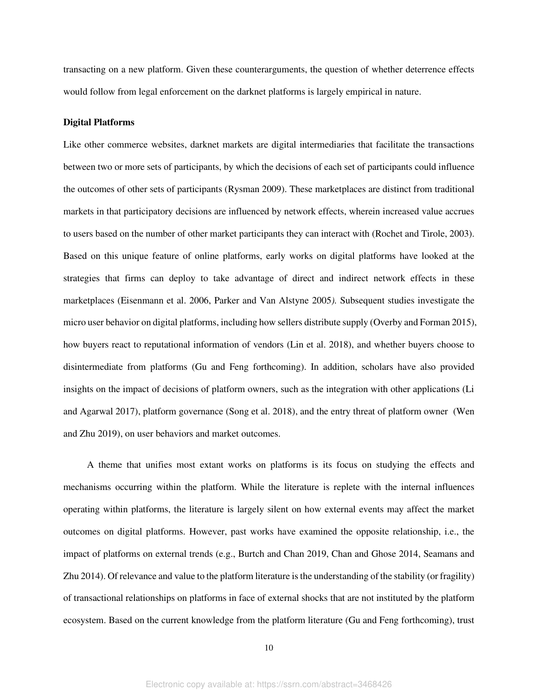transacting on a new platform. Given these counterarguments, the question of whether deterrence effects would follow from legal enforcement on the darknet platforms is largely empirical in nature.

#### **Digital Platforms**

Like other commerce websites, darknet markets are digital intermediaries that facilitate the transactions between two or more sets of participants, by which the decisions of each set of participants could influence the outcomes of other sets of participants (Rysman 2009). These marketplaces are distinct from traditional markets in that participatory decisions are influenced by network effects, wherein increased value accrues to users based on the number of other market participants they can interact with (Rochet and Tirole, 2003). Based on this unique feature of online platforms, early works on digital platforms have looked at the strategies that firms can deploy to take advantage of direct and indirect network effects in these marketplaces (Eisenmann et al. 2006, Parker and Van Alstyne 2005*).* Subsequent studies investigate the micro user behavior on digital platforms, including how sellers distribute supply (Overby and Forman 2015), how buyers react to reputational information of vendors (Lin et al. 2018), and whether buyers choose to disintermediate from platforms (Gu and Feng forthcoming). In addition, scholars have also provided insights on the impact of decisions of platform owners, such as the integration with other applications (Li and Agarwal 2017), platform governance (Song et al. 2018), and the entry threat of platform owner (Wen and Zhu 2019), on user behaviors and market outcomes.

A theme that unifies most extant works on platforms is its focus on studying the effects and mechanisms occurring within the platform. While the literature is replete with the internal influences operating within platforms, the literature is largely silent on how external events may affect the market outcomes on digital platforms. However, past works have examined the opposite relationship, i.e., the impact of platforms on external trends (e.g., Burtch and Chan 2019, Chan and Ghose 2014, Seamans and Zhu 2014). Of relevance and value to the platform literature is the understanding of the stability (or fragility) of transactional relationships on platforms in face of external shocks that are not instituted by the platform ecosystem. Based on the current knowledge from the platform literature (Gu and Feng forthcoming), trust

10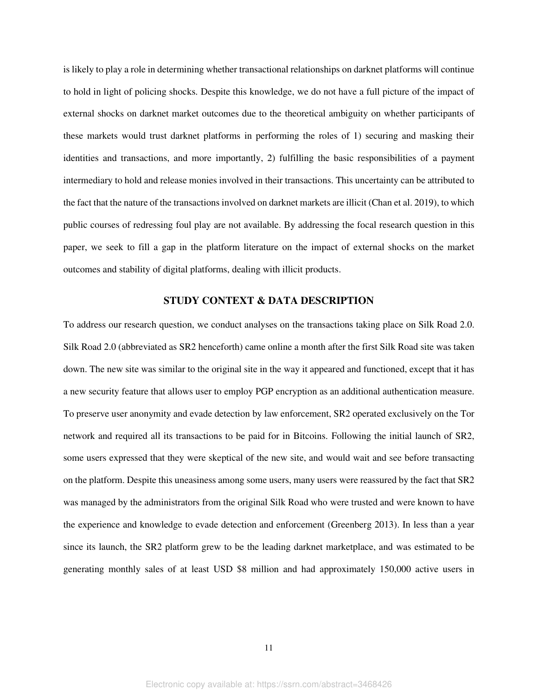is likely to play a role in determining whether transactional relationships on darknet platforms will continue to hold in light of policing shocks. Despite this knowledge, we do not have a full picture of the impact of external shocks on darknet market outcomes due to the theoretical ambiguity on whether participants of these markets would trust darknet platforms in performing the roles of 1) securing and masking their identities and transactions, and more importantly, 2) fulfilling the basic responsibilities of a payment intermediary to hold and release monies involved in their transactions. This uncertainty can be attributed to the fact that the nature of the transactions involved on darknet markets are illicit (Chan et al. 2019), to which public courses of redressing foul play are not available. By addressing the focal research question in this paper, we seek to fill a gap in the platform literature on the impact of external shocks on the market outcomes and stability of digital platforms, dealing with illicit products.

#### **STUDY CONTEXT & DATA DESCRIPTION**

To address our research question, we conduct analyses on the transactions taking place on Silk Road 2.0. Silk Road 2.0 (abbreviated as SR2 henceforth) came online a month after the first Silk Road site was taken down. The new site was similar to the original site in the way it appeared and functioned, except that it has a new security feature that allows user to employ PGP encryption as an additional authentication measure. To preserve user anonymity and evade detection by law enforcement, SR2 operated exclusively on the Tor network and required all its transactions to be paid for in Bitcoins. Following the initial launch of SR2, some users expressed that they were skeptical of the new site, and would wait and see before transacting on the platform. Despite this uneasiness among some users, many users were reassured by the fact that SR2 was managed by the administrators from the original Silk Road who were trusted and were known to have the experience and knowledge to evade detection and enforcement (Greenberg 2013). In less than a year since its launch, the SR2 platform grew to be the leading darknet marketplace, and was estimated to be generating monthly sales of at least USD \$8 million and had approximately 150,000 active users in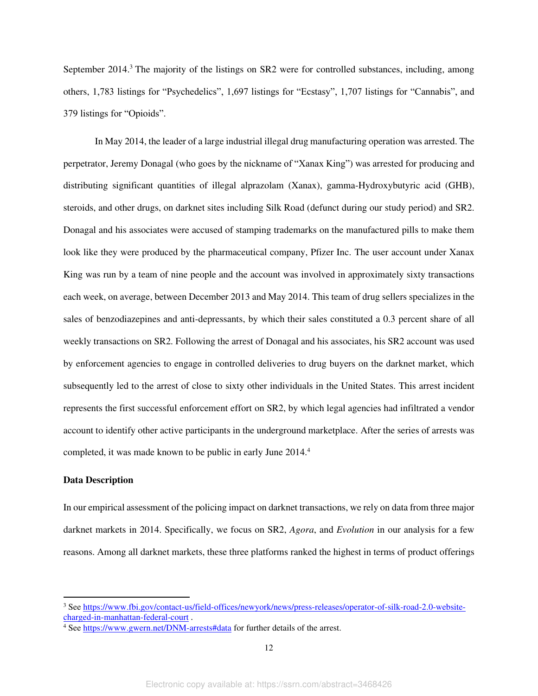September 2014.<sup>3</sup> The majority of the listings on SR2 were for controlled substances, including, among others, 1,783 listings for "Psychedelics", 1,697 listings for "Ecstasy", 1,707 listings for "Cannabis", and 379 listings for "Opioids".

In May 2014, the leader of a large industrial illegal drug manufacturing operation was arrested. The perpetrator, Jeremy Donagal (who goes by the nickname of "Xanax King") was arrested for producing and distributing significant quantities of illegal alprazolam (Xanax), gamma-Hydroxybutyric acid (GHB), steroids, and other drugs, on darknet sites including Silk Road (defunct during our study period) and SR2. Donagal and his associates were accused of stamping trademarks on the manufactured pills to make them look like they were produced by the pharmaceutical company, Pfizer Inc. The user account under Xanax King was run by a team of nine people and the account was involved in approximately sixty transactions each week, on average, between December 2013 and May 2014. This team of drug sellers specializes in the sales of benzodiazepines and anti-depressants, by which their sales constituted a 0.3 percent share of all weekly transactions on SR2. Following the arrest of Donagal and his associates, his SR2 account was used by enforcement agencies to engage in controlled deliveries to drug buyers on the darknet market, which subsequently led to the arrest of close to sixty other individuals in the United States. This arrest incident represents the first successful enforcement effort on SR2, by which legal agencies had infiltrated a vendor account to identify other active participants in the underground marketplace. After the series of arrests was completed, it was made known to be public in early June 2014.<sup>4</sup>

#### **Data Description**

In our empirical assessment of the policing impact on darknet transactions, we rely on data from three major darknet markets in 2014. Specifically, we focus on SR2, *Agora*, and *Evolution* in our analysis for a few reasons. Among all darknet markets, these three platforms ranked the highest in terms of product offerings

<sup>&</sup>lt;sup>3</sup> Se[e https://www.fbi.gov/contact-us/field-offices/newyork/news/press-releases/operator-of-silk-road-2.0-website](https://www.fbi.gov/contact-us/field-offices/newyork/news/press-releases/operator-of-silk-road-2.0-website-charged-in-manhattan-federal-court)[charged-in-manhattan-federal-court](https://www.fbi.gov/contact-us/field-offices/newyork/news/press-releases/operator-of-silk-road-2.0-website-charged-in-manhattan-federal-court) .

<sup>&</sup>lt;sup>4</sup> Se[e https://www.gwern.net/DNM-arrests#data](https://www.gwern.net/DNM-arrests#data) for further details of the arrest.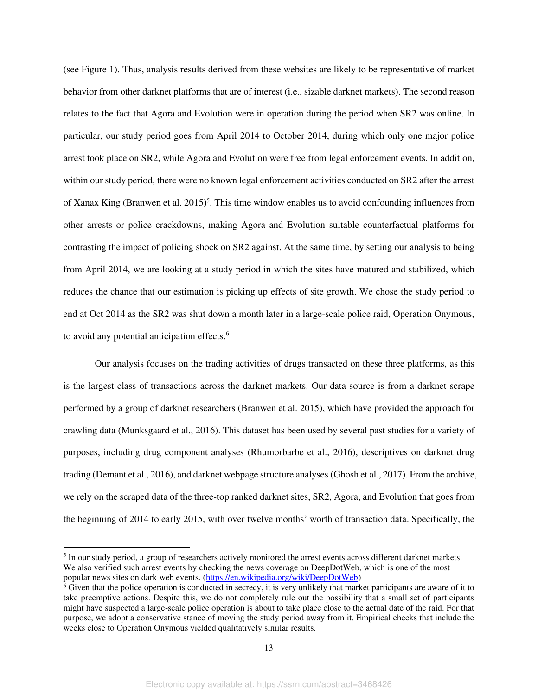(see Figure 1). Thus, analysis results derived from these websites are likely to be representative of market behavior from other darknet platforms that are of interest (i.e., sizable darknet markets). The second reason relates to the fact that Agora and Evolution were in operation during the period when SR2 was online. In particular, our study period goes from April 2014 to October 2014, during which only one major police arrest took place on SR2, while Agora and Evolution were free from legal enforcement events. In addition, within our study period, there were no known legal enforcement activities conducted on SR2 after the arrest of Xanax King (Branwen et al.  $2015$ )<sup>5</sup>. This time window enables us to avoid confounding influences from other arrests or police crackdowns, making Agora and Evolution suitable counterfactual platforms for contrasting the impact of policing shock on SR2 against. At the same time, by setting our analysis to being from April 2014, we are looking at a study period in which the sites have matured and stabilized, which reduces the chance that our estimation is picking up effects of site growth. We chose the study period to end at Oct 2014 as the SR2 was shut down a month later in a large-scale police raid, Operation Onymous, to avoid any potential anticipation effects.<sup>6</sup>

Our analysis focuses on the trading activities of drugs transacted on these three platforms, as this is the largest class of transactions across the darknet markets. Our data source is from a darknet scrape performed by a group of darknet researchers (Branwen et al. 2015), which have provided the approach for crawling data (Munksgaard et al., 2016). This dataset has been used by several past studies for a variety of purposes, including drug component analyses (Rhumorbarbe et al., 2016), descriptives on darknet drug trading (Demant et al., 2016), and darknet webpage structure analyses (Ghosh et al., 2017). From the archive, we rely on the scraped data of the three-top ranked darknet sites, SR2, Agora, and Evolution that goes from the beginning of 2014 to early 2015, with over twelve months' worth of transaction data. Specifically, the

<sup>&</sup>lt;sup>5</sup> In our study period, a group of researchers actively monitored the arrest events across different darknet markets. We also verified such arrest events by checking the news coverage on DeepDotWeb, which is one of the most popular news sites on dark web events. [\(https://en.wikipedia.org/wiki/DeepDotWeb\)](https://en.wikipedia.org/wiki/DeepDotWeb)

<sup>&</sup>lt;sup>6</sup> Given that the police operation is conducted in secrecy, it is very unlikely that market participants are aware of it to take preemptive actions. Despite this, we do not completely rule out the possibility that a small set of participants might have suspected a large-scale police operation is about to take place close to the actual date of the raid. For that purpose, we adopt a conservative stance of moving the study period away from it. Empirical checks that include the weeks close to Operation Onymous yielded qualitatively similar results.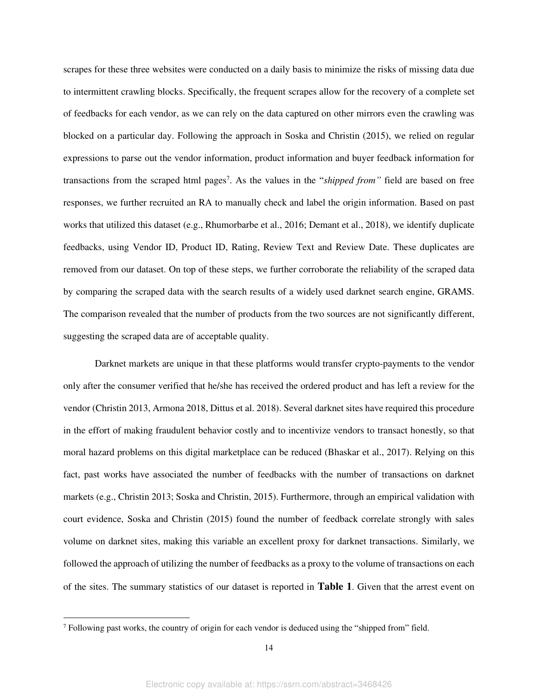scrapes for these three websites were conducted on a daily basis to minimize the risks of missing data due to intermittent crawling blocks. Specifically, the frequent scrapes allow for the recovery of a complete set of feedbacks for each vendor, as we can rely on the data captured on other mirrors even the crawling was blocked on a particular day. Following the approach in Soska and Christin (2015), we relied on regular expressions to parse out the vendor information, product information and buyer feedback information for transactions from the scraped html pages<sup>7</sup>. As the values in the "*shipped from*" field are based on free responses, we further recruited an RA to manually check and label the origin information. Based on past works that utilized this dataset (e.g., Rhumorbarbe et al., 2016; Demant et al., 2018), we identify duplicate feedbacks, using Vendor ID, Product ID, Rating, Review Text and Review Date. These duplicates are removed from our dataset. On top of these steps, we further corroborate the reliability of the scraped data by comparing the scraped data with the search results of a widely used darknet search engine, GRAMS. The comparison revealed that the number of products from the two sources are not significantly different, suggesting the scraped data are of acceptable quality.

Darknet markets are unique in that these platforms would transfer crypto-payments to the vendor only after the consumer verified that he/she has received the ordered product and has left a review for the vendor (Christin 2013, Armona 2018, Dittus et al. 2018). Several darknet sites have required this procedure in the effort of making fraudulent behavior costly and to incentivize vendors to transact honestly, so that moral hazard problems on this digital marketplace can be reduced (Bhaskar et al., 2017). Relying on this fact, past works have associated the number of feedbacks with the number of transactions on darknet markets (e.g., Christin 2013; Soska and Christin, 2015). Furthermore, through an empirical validation with court evidence, Soska and Christin (2015) found the number of feedback correlate strongly with sales volume on darknet sites, making this variable an excellent proxy for darknet transactions. Similarly, we followed the approach of utilizing the number of feedbacks as a proxy to the volume of transactions on each of the sites. The summary statistics of our dataset is reported in **[Table 1](#page-41-0)**. Given that the arrest event on

<sup>&</sup>lt;sup>7</sup> Following past works, the country of origin for each vendor is deduced using the "shipped from" field.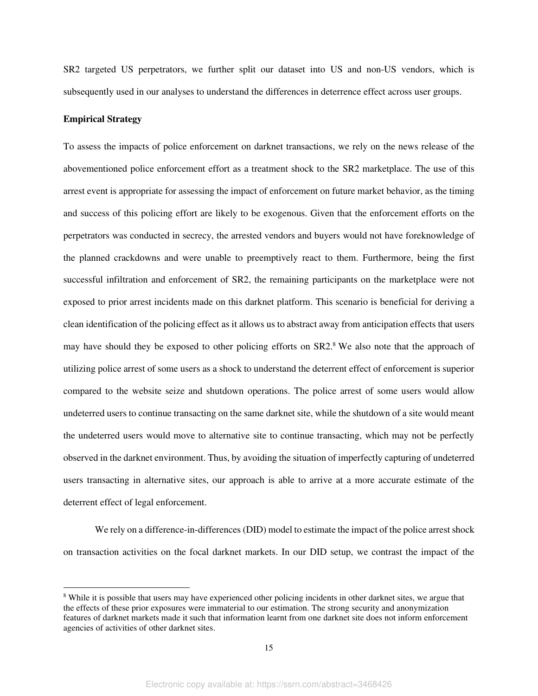SR2 targeted US perpetrators, we further split our dataset into US and non-US vendors, which is subsequently used in our analyses to understand the differences in deterrence effect across user groups.

#### **Empirical Strategy**

To assess the impacts of police enforcement on darknet transactions, we rely on the news release of the abovementioned police enforcement effort as a treatment shock to the SR2 marketplace. The use of this arrest event is appropriate for assessing the impact of enforcement on future market behavior, as the timing and success of this policing effort are likely to be exogenous. Given that the enforcement efforts on the perpetrators was conducted in secrecy, the arrested vendors and buyers would not have foreknowledge of the planned crackdowns and were unable to preemptively react to them. Furthermore, being the first successful infiltration and enforcement of SR2, the remaining participants on the marketplace were not exposed to prior arrest incidents made on this darknet platform. This scenario is beneficial for deriving a clean identification of the policing effect as it allows us to abstract away from anticipation effects that users may have should they be exposed to other policing efforts on SR2.<sup>8</sup> We also note that the approach of utilizing police arrest of some users as a shock to understand the deterrent effect of enforcement is superior compared to the website seize and shutdown operations. The police arrest of some users would allow undeterred users to continue transacting on the same darknet site, while the shutdown of a site would meant the undeterred users would move to alternative site to continue transacting, which may not be perfectly observed in the darknet environment. Thus, by avoiding the situation of imperfectly capturing of undeterred users transacting in alternative sites, our approach is able to arrive at a more accurate estimate of the deterrent effect of legal enforcement.

We rely on a difference-in-differences (DID) model to estimate the impact of the police arrest shock on transaction activities on the focal darknet markets. In our DID setup, we contrast the impact of the

<sup>&</sup>lt;sup>8</sup> While it is possible that users may have experienced other policing incidents in other darknet sites, we argue that the effects of these prior exposures were immaterial to our estimation. The strong security and anonymization features of darknet markets made it such that information learnt from one darknet site does not inform enforcement agencies of activities of other darknet sites.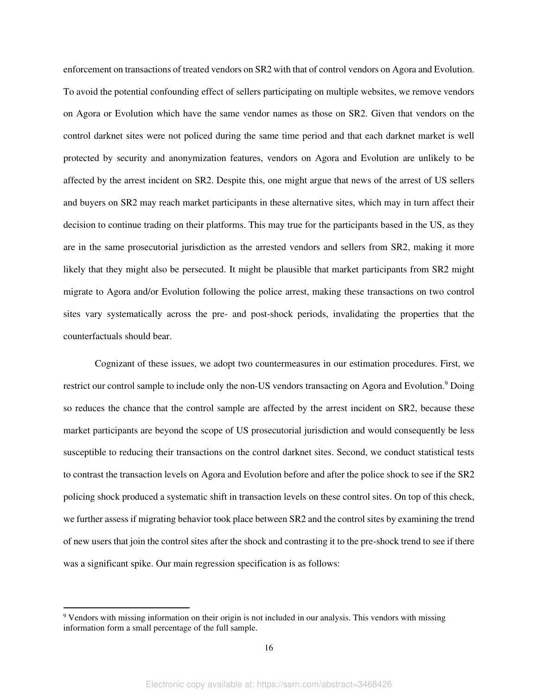enforcement on transactions of treated vendors on SR2 with that of control vendors on Agora and Evolution. To avoid the potential confounding effect of sellers participating on multiple websites, we remove vendors on Agora or Evolution which have the same vendor names as those on SR2. Given that vendors on the control darknet sites were not policed during the same time period and that each darknet market is well protected by security and anonymization features, vendors on Agora and Evolution are unlikely to be affected by the arrest incident on SR2. Despite this, one might argue that news of the arrest of US sellers and buyers on SR2 may reach market participants in these alternative sites, which may in turn affect their decision to continue trading on their platforms. This may true for the participants based in the US, as they are in the same prosecutorial jurisdiction as the arrested vendors and sellers from SR2, making it more likely that they might also be persecuted. It might be plausible that market participants from SR2 might migrate to Agora and/or Evolution following the police arrest, making these transactions on two control sites vary systematically across the pre- and post-shock periods, invalidating the properties that the counterfactuals should bear.

Cognizant of these issues, we adopt two countermeasures in our estimation procedures. First, we restrict our control sample to include only the non-US vendors transacting on Agora and Evolution.<sup>9</sup> Doing so reduces the chance that the control sample are affected by the arrest incident on SR2, because these market participants are beyond the scope of US prosecutorial jurisdiction and would consequently be less susceptible to reducing their transactions on the control darknet sites. Second, we conduct statistical tests to contrast the transaction levels on Agora and Evolution before and after the police shock to see if the SR2 policing shock produced a systematic shift in transaction levels on these control sites. On top of this check, we further assess if migrating behavior took place between SR2 and the control sites by examining the trend of new users that join the control sites after the shock and contrasting it to the pre-shock trend to see if there was a significant spike. Our main regression specification is as follows:

<sup>&</sup>lt;sup>9</sup> Vendors with missing information on their origin is not included in our analysis. This vendors with missing information form a small percentage of the full sample.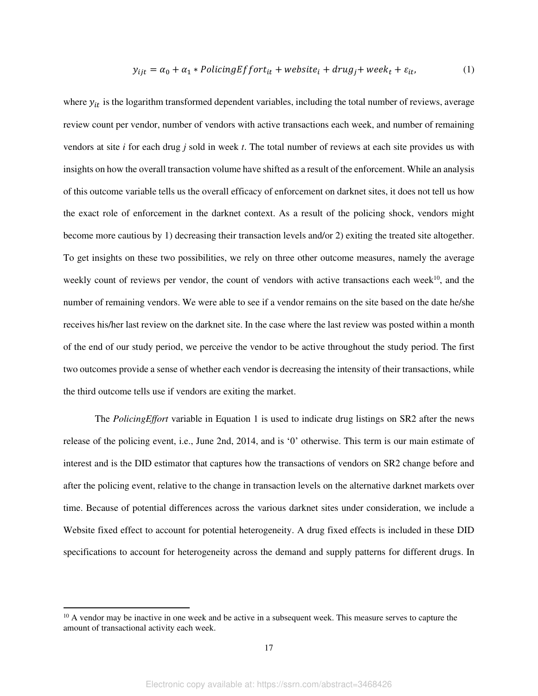$$
y_{ijt} = \alpha_0 + \alpha_1 * PolicyEffort_{it} + website_i + drug_j + week_t + \varepsilon_{it},
$$
<sup>(1)</sup>

where  $y_{it}$  is the logarithm transformed dependent variables, including the total number of reviews, average review count per vendor, number of vendors with active transactions each week, and number of remaining vendors at site *i* for each drug *j* sold in week *t*. The total number of reviews at each site provides us with insights on how the overall transaction volume have shifted as a result of the enforcement. While an analysis of this outcome variable tells us the overall efficacy of enforcement on darknet sites, it does not tell us how the exact role of enforcement in the darknet context. As a result of the policing shock, vendors might become more cautious by 1) decreasing their transaction levels and/or 2) exiting the treated site altogether. To get insights on these two possibilities, we rely on three other outcome measures, namely the average weekly count of reviews per vendor, the count of vendors with active transactions each week<sup>10</sup>, and the number of remaining vendors. We were able to see if a vendor remains on the site based on the date he/she receives his/her last review on the darknet site. In the case where the last review was posted within a month of the end of our study period, we perceive the vendor to be active throughout the study period. The first two outcomes provide a sense of whether each vendor is decreasing the intensity of their transactions, while the third outcome tells use if vendors are exiting the market.

The *PolicingEffort* variable in Equation 1 is used to indicate drug listings on SR2 after the news release of the policing event, i.e., June 2nd, 2014, and is '0' otherwise. This term is our main estimate of interest and is the DID estimator that captures how the transactions of vendors on SR2 change before and after the policing event, relative to the change in transaction levels on the alternative darknet markets over time. Because of potential differences across the various darknet sites under consideration, we include a Website fixed effect to account for potential heterogeneity. A drug fixed effects is included in these DID specifications to account for heterogeneity across the demand and supply patterns for different drugs. In

<sup>&</sup>lt;sup>10</sup> A vendor may be inactive in one week and be active in a subsequent week. This measure serves to capture the amount of transactional activity each week.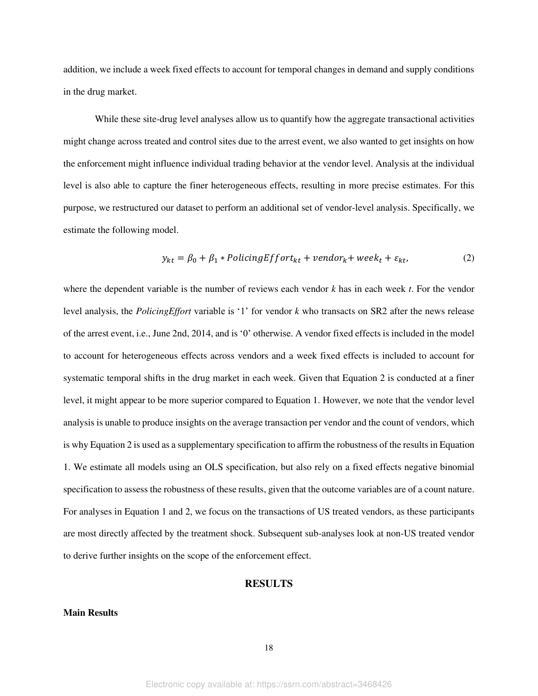addition, we include a week fixed effects to account for temporal changes in demand and supply conditions in the drug market.

While these site-drug level analyses allow us to quantify how the aggregate transactional activities might change across treated and control sites due to the arrest event, we also wanted to get insights on how the enforcement might influence individual trading behavior at the vendor level. Analysis at the individual level is also able to capture the finer heterogeneous effects, resulting in more precise estimates. For this purpose, we restructured our dataset to perform an additional set of vendor-level analysis. Specifically, we estimate the following model.

$$
y_{kt} = \beta_0 + \beta_1 * PolicyEffort_{kt} + vendor_k + week_t + \varepsilon_{kt},
$$
\n(2)

where the dependent variable is the number of reviews each vendor *k* has in each week *t*. For the vendor level analysis, the *PolicingEffort* variable is '1' for vendor *k* who transacts on SR2 after the news release of the arrest event, i.e., June 2nd, 2014, and is '0' otherwise. A vendor fixed effects is included in the model to account for heterogeneous effects across vendors and a week fixed effects is included to account for systematic temporal shifts in the drug market in each week. Given that Equation 2 is conducted at a finer level, it might appear to be more superior compared to Equation 1. However, we note that the vendor level analysis is unable to produce insights on the average transaction per vendor and the count of vendors, which is why Equation 2 is used as a supplementary specification to affirm the robustness of the results in Equation 1. We estimate all models using an OLS specification, but also rely on a fixed effects negative binomial specification to assess the robustness of these results, given that the outcome variables are of a count nature. For analyses in Equation 1 and 2, we focus on the transactions of US treated vendors, as these participants are most directly affected by the treatment shock. Subsequent sub-analyses look at non-US treated vendor to derive further insights on the scope of the enforcement effect.

#### **RESULTS**

#### **Main Results**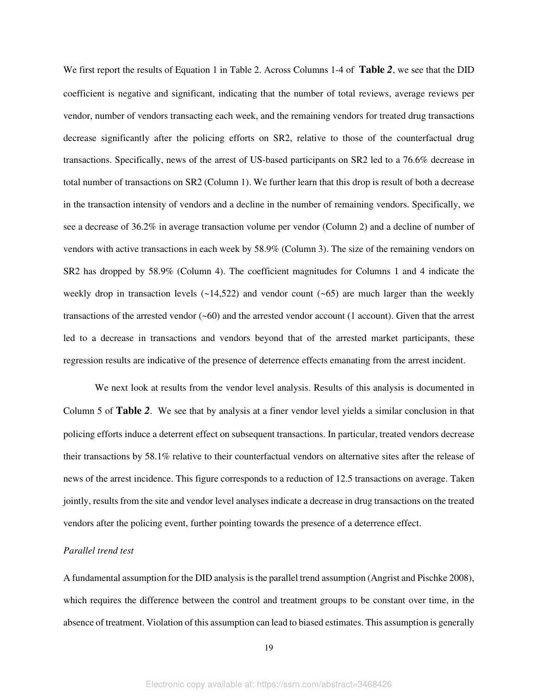We first report the results of Equation 1 in Table 2. Across Columns 1-4 of **[Table](#page-41-1)** *2*, we see that the DID coefficient is negative and significant, indicating that the number of total reviews, average reviews per vendor, number of vendors transacting each week, and the remaining vendors for treated drug transactions decrease significantly after the policing efforts on SR2, relative to those of the counterfactual drug transactions. Specifically, news of the arrest of US-based participants on SR2 led to a 76.6% decrease in total number of transactions on SR2 (Column 1). We further learn that this drop is result of both a decrease in the transaction intensity of vendors and a decline in the number of remaining vendors. Specifically, we see a decrease of 36.2% in average transaction volume per vendor (Column 2) and a decline of number of vendors with active transactions in each week by 58.9% (Column 3). The size of the remaining vendors on SR2 has dropped by 58.9% (Column 4). The coefficient magnitudes for Columns 1 and 4 indicate the weekly drop in transaction levels  $(-14,522)$  and vendor count  $(-65)$  are much larger than the weekly transactions of the arrested vendor (~60) and the arrested vendor account (1 account). Given that the arrest led to a decrease in transactions and vendors beyond that of the arrested market participants, these regression results are indicative of the presence of deterrence effects emanating from the arrest incident.

We next look at results from the vendor level analysis. Results of this analysis is documented in Column 5 of **[Table](#page-41-1)** *2*. We see that by analysis at a finer vendor level yields a similar conclusion in that policing efforts induce a deterrent effect on subsequent transactions. In particular, treated vendors decrease their transactions by 58.1% relative to their counterfactual vendors on alternative sites after the release of news of the arrest incidence. This figure corresponds to a reduction of 12.5 transactions on average. Taken jointly, results from the site and vendor level analyses indicate a decrease in drug transactions on the treated vendors after the policing event, further pointing towards the presence of a deterrence effect.

### *Parallel trend test*

A fundamental assumption for the DID analysis is the parallel trend assumption (Angrist and Pischke 2008), which requires the difference between the control and treatment groups to be constant over time, in the absence of treatment. Violation of this assumption can lead to biased estimates. This assumption is generally

19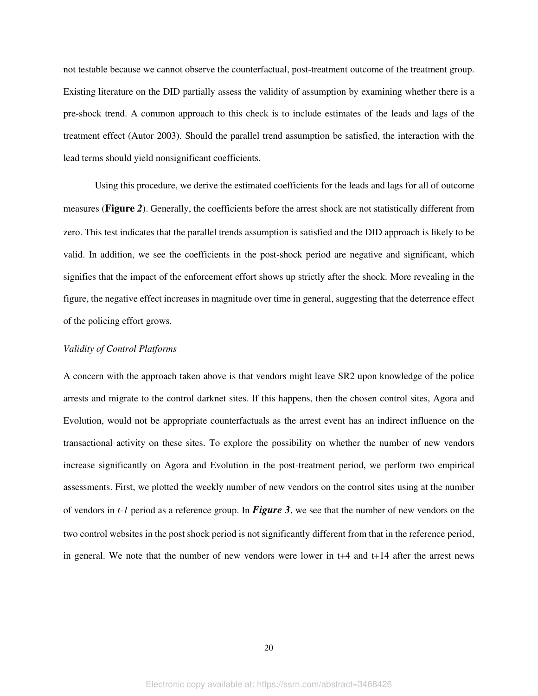not testable because we cannot observe the counterfactual, post-treatment outcome of the treatment group. Existing literature on the DID partially assess the validity of assumption by examining whether there is a pre-shock trend. A common approach to this check is to include estimates of the leads and lags of the treatment effect (Autor 2003). Should the parallel trend assumption be satisfied, the interaction with the lead terms should yield nonsignificant coefficients.

Using this procedure, we derive the estimated coefficients for the leads and lags for all of outcome measures (**[Figure](#page-38-0)** *2*). Generally, the coefficients before the arrest shock are not statistically different from zero. This test indicates that the parallel trends assumption is satisfied and the DID approach is likely to be valid. In addition, we see the coefficients in the post-shock period are negative and significant, which signifies that the impact of the enforcement effort shows up strictly after the shock. More revealing in the figure, the negative effect increases in magnitude over time in general, suggesting that the deterrence effect of the policing effort grows.

#### *Validity of Control Platforms*

A concern with the approach taken above is that vendors might leave SR2 upon knowledge of the police arrests and migrate to the control darknet sites. If this happens, then the chosen control sites, Agora and Evolution, would not be appropriate counterfactuals as the arrest event has an indirect influence on the transactional activity on these sites. To explore the possibility on whether the number of new vendors increase significantly on Agora and Evolution in the post-treatment period, we perform two empirical assessments. First, we plotted the weekly number of new vendors on the control sites using at the number of vendors in *t-1* period as a reference group. In *[Figure 3](#page-39-0)*, we see that the number of new vendors on the two control websites in the post shock period is not significantly different from that in the reference period, in general. We note that the number of new vendors were lower in t+4 and t+14 after the arrest news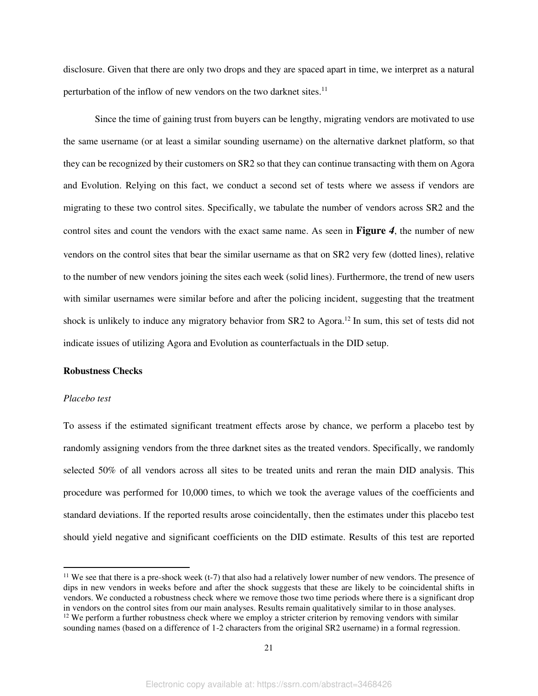disclosure. Given that there are only two drops and they are spaced apart in time, we interpret as a natural perturbation of the inflow of new vendors on the two darknet sites.<sup>11</sup>

Since the time of gaining trust from buyers can be lengthy, migrating vendors are motivated to use the same username (or at least a similar sounding username) on the alternative darknet platform, so that they can be recognized by their customers on SR2 so that they can continue transacting with them on Agora and Evolution. Relying on this fact, we conduct a second set of tests where we assess if vendors are migrating to these two control sites. Specifically, we tabulate the number of vendors across SR2 and the control sites and count the vendors with the exact same name. As seen in **[Figure](#page-39-1)** *4*, the number of new vendors on the control sites that bear the similar username as that on SR2 very few (dotted lines), relative to the number of new vendors joining the sites each week (solid lines). Furthermore, the trend of new users with similar usernames were similar before and after the policing incident, suggesting that the treatment shock is unlikely to induce any migratory behavior from SR2 to Agora.<sup>12</sup> In sum, this set of tests did not indicate issues of utilizing Agora and Evolution as counterfactuals in the DID setup.

#### **Robustness Checks**

#### *Placebo test*

To assess if the estimated significant treatment effects arose by chance, we perform a placebo test by randomly assigning vendors from the three darknet sites as the treated vendors. Specifically, we randomly selected 50% of all vendors across all sites to be treated units and reran the main DID analysis. This procedure was performed for 10,000 times, to which we took the average values of the coefficients and standard deviations. If the reported results arose coincidentally, then the estimates under this placebo test should yield negative and significant coefficients on the DID estimate. Results of this test are reported

 $11$  We see that there is a pre-shock week (t-7) that also had a relatively lower number of new vendors. The presence of dips in new vendors in weeks before and after the shock suggests that these are likely to be coincidental shifts in vendors. We conducted a robustness check where we remove those two time periods where there is a significant drop in vendors on the control sites from our main analyses. Results remain qualitatively similar to in those analyses. <sup>12</sup> We perform a further robustness check where we employ a stricter criterion by removing vendors with similar sounding names (based on a difference of 1-2 characters from the original SR2 username) in a formal regression.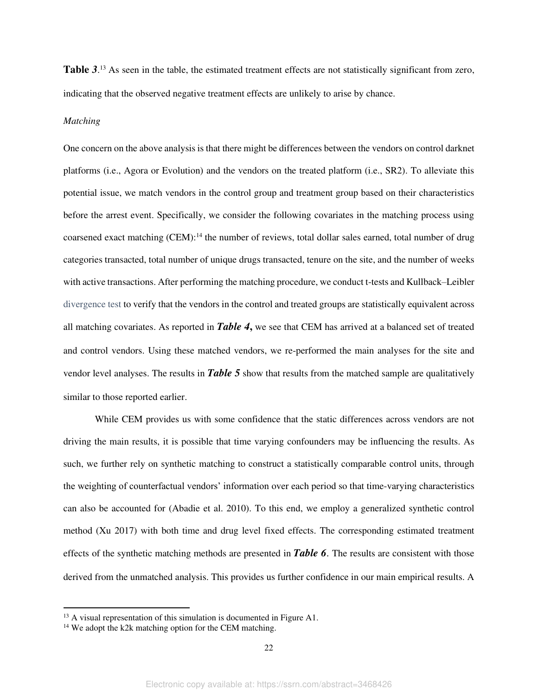**[Table](#page-42-0)** *3*. <sup>13</sup> As seen in the table, the estimated treatment effects are not statistically significant from zero, indicating that the observed negative treatment effects are unlikely to arise by chance.

### *Matching*

One concern on the above analysis is that there might be differences between the vendors on control darknet platforms (i.e., Agora or Evolution) and the vendors on the treated platform (i.e., SR2). To alleviate this potential issue, we match vendors in the control group and treatment group based on their characteristics before the arrest event. Specifically, we consider the following covariates in the matching process using coarsened exact matching (CEM):<sup>14</sup> the number of reviews, total dollar sales earned, total number of drug categories transacted, total number of unique drugs transacted, tenure on the site, and the number of weeks with active transactions. After performing the matching procedure, we conduct t-tests and Kullback–Leibler divergence test to verify that the vendors in the control and treated groups are statistically equivalent across all matching covariates. As reported in *[Table](#page-42-1) 4***,** we see that CEM has arrived at a balanced set of treated and control vendors. Using these matched vendors, we re-performed the main analyses for the site and vendor level analyses. The results in *[Table 5](#page-42-2)* show that results from the matched sample are qualitatively similar to those reported earlier.

While CEM provides us with some confidence that the static differences across vendors are not driving the main results, it is possible that time varying confounders may be influencing the results. As such, we further rely on synthetic matching to construct a statistically comparable control units, through the weighting of counterfactual vendors' information over each period so that time-varying characteristics can also be accounted for (Abadie et al. 2010). To this end, we employ a generalized synthetic control method (Xu 2017) with both time and drug level fixed effects. The corresponding estimated treatment effects of the synthetic matching methods are presented in *Table 6*. The results are consistent with those derived from the unmatched analysis. This provides us further confidence in our main empirical results. A

<sup>&</sup>lt;sup>13</sup> A visual representation of this simulation is documented in Figure A1.

<sup>&</sup>lt;sup>14</sup> We adopt the k2k matching option for the CEM matching.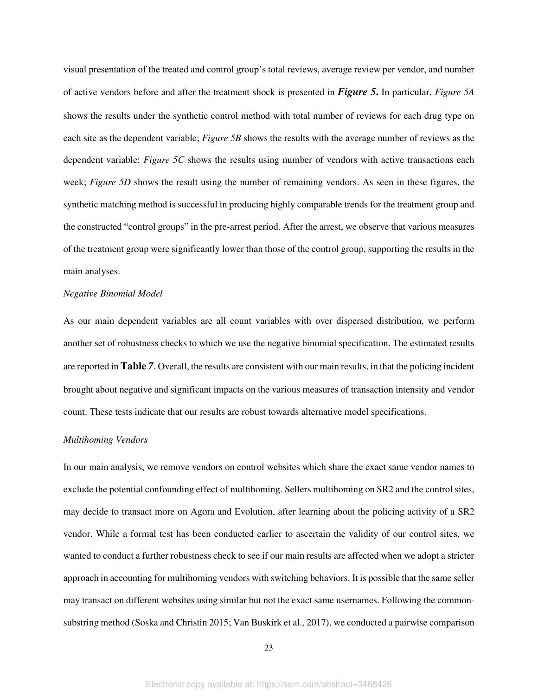visual presentation of the treated and control group's total reviews, average review per vendor, and number of active vendors before and after the treatment shock is presented in *Figure 5***.** In particular, *Figure 5A* shows the results under the synthetic control method with total number of reviews for each drug type on each site as the dependent variable; *Figure 5B* shows the results with the average number of reviews as the dependent variable; *Figure 5C* shows the results using number of vendors with active transactions each week; *Figure 5D* shows the result using the number of remaining vendors. As seen in these figures, the synthetic matching method is successful in producing highly comparable trends for the treatment group and the constructed "control groups" in the pre-arrest period. After the arrest, we observe that various measures of the treatment group were significantly lower than those of the control group, supporting the results in the main analyses.

#### *Negative Binomial Model*

As our main dependent variables are all count variables with over dispersed distribution, we perform another set of robustness checks to which we use the negative binomial specification. The estimated results are reported in **[Table](#page-43-0)** *7*. Overall, the results are consistent with our main results, in that the policing incident brought about negative and significant impacts on the various measures of transaction intensity and vendor count. These tests indicate that our results are robust towards alternative model specifications.

#### *Multihoming Vendors*

In our main analysis, we remove vendors on control websites which share the exact same vendor names to exclude the potential confounding effect of multihoming. Sellers multihoming on SR2 and the control sites, may decide to transact more on Agora and Evolution, after learning about the policing activity of a SR2 vendor. While a formal test has been conducted earlier to ascertain the validity of our control sites, we wanted to conduct a further robustness check to see if our main results are affected when we adopt a stricter approach in accounting for multihoming vendors with switching behaviors. It is possible that the same seller may transact on different websites using similar but not the exact same usernames. Following the commonsubstring method (Soska and Christin 2015; Van Buskirk et al., 2017), we conducted a pairwise comparison

23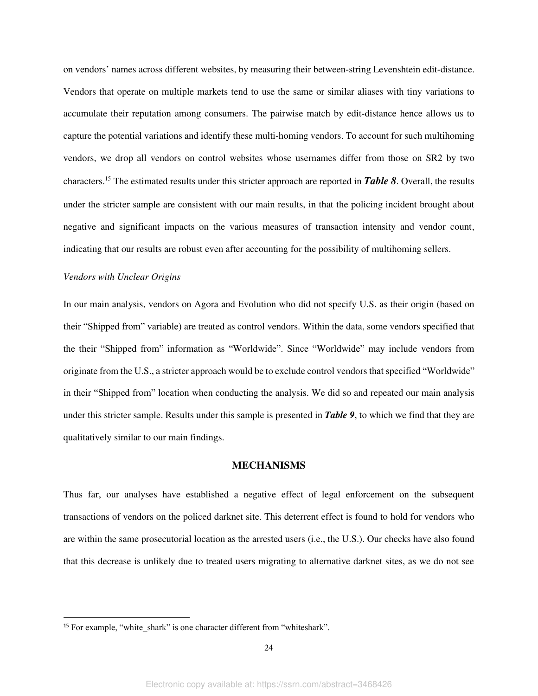on vendors' names across different websites, by measuring their between-string Levenshtein edit-distance. Vendors that operate on multiple markets tend to use the same or similar aliases with tiny variations to accumulate their reputation among consumers. The pairwise match by edit-distance hence allows us to capture the potential variations and identify these multi-homing vendors. To account for such multihoming vendors, we drop all vendors on control websites whose usernames differ from those on SR2 by two characters.<sup>15</sup> The estimated results under this stricter approach are reported in *Table 8*. Overall, the results under the stricter sample are consistent with our main results, in that the policing incident brought about negative and significant impacts on the various measures of transaction intensity and vendor count, indicating that our results are robust even after accounting for the possibility of multihoming sellers.

#### *Vendors with Unclear Origins*

In our main analysis, vendors on Agora and Evolution who did not specify U.S. as their origin (based on their "Shipped from" variable) are treated as control vendors. Within the data, some vendors specified that the their "Shipped from" information as "Worldwide". Since "Worldwide" may include vendors from originate from the U.S., a stricter approach would be to exclude control vendors that specified "Worldwide" in their "Shipped from" location when conducting the analysis. We did so and repeated our main analysis under this stricter sample. Results under this sample is presented in *Table 9*, to which we find that they are qualitatively similar to our main findings.

#### **MECHANISMS**

Thus far, our analyses have established a negative effect of legal enforcement on the subsequent transactions of vendors on the policed darknet site. This deterrent effect is found to hold for vendors who are within the same prosecutorial location as the arrested users (i.e., the U.S.). Our checks have also found that this decrease is unlikely due to treated users migrating to alternative darknet sites, as we do not see

<sup>&</sup>lt;sup>15</sup> For example, "white shark" is one character different from "whiteshark".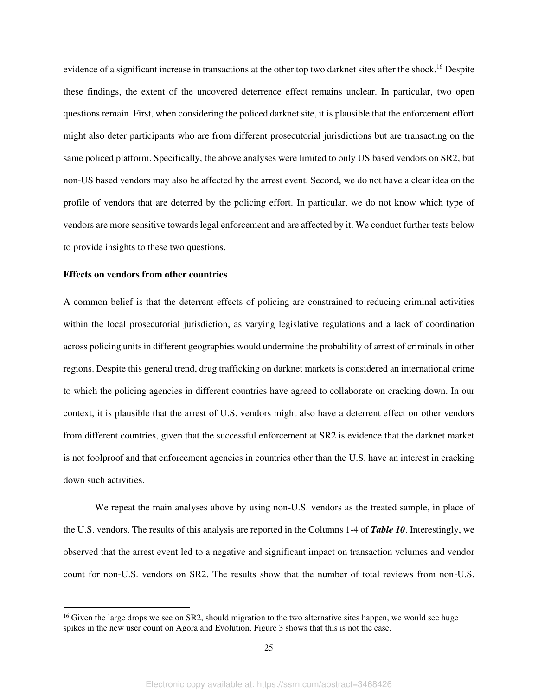evidence of a significant increase in transactions at the other top two darknet sites after the shock.<sup>16</sup> Despite these findings, the extent of the uncovered deterrence effect remains unclear. In particular, two open questions remain. First, when considering the policed darknet site, it is plausible that the enforcement effort might also deter participants who are from different prosecutorial jurisdictions but are transacting on the same policed platform. Specifically, the above analyses were limited to only US based vendors on SR2, but non-US based vendors may also be affected by the arrest event. Second, we do not have a clear idea on the profile of vendors that are deterred by the policing effort. In particular, we do not know which type of vendors are more sensitive towards legal enforcement and are affected by it. We conduct further tests below to provide insights to these two questions.

### **Effects on vendors from other countries**

A common belief is that the deterrent effects of policing are constrained to reducing criminal activities within the local prosecutorial jurisdiction, as varying legislative regulations and a lack of coordination across policing units in different geographies would undermine the probability of arrest of criminals in other regions. Despite this general trend, drug trafficking on darknet markets is considered an international crime to which the policing agencies in different countries have agreed to collaborate on cracking down. In our context, it is plausible that the arrest of U.S. vendors might also have a deterrent effect on other vendors from different countries, given that the successful enforcement at SR2 is evidence that the darknet market is not foolproof and that enforcement agencies in countries other than the U.S. have an interest in cracking down such activities.

We repeat the main analyses above by using non-U.S. vendors as the treated sample, in place of the U.S. vendors. The results of this analysis are reported in the Columns 1-4 of *Table 10*. Interestingly, we observed that the arrest event led to a negative and significant impact on transaction volumes and vendor count for non-U.S. vendors on SR2. The results show that the number of total reviews from non-U.S.

<sup>&</sup>lt;sup>16</sup> Given the large drops we see on SR2, should migration to the two alternative sites happen, we would see huge spikes in the new user count on Agora and Evolution. Figure 3 shows that this is not the case.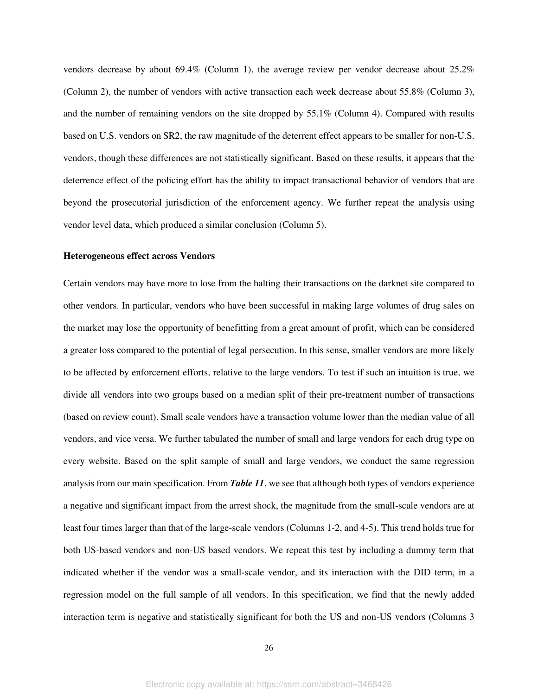vendors decrease by about 69.4% (Column 1), the average review per vendor decrease about 25.2% (Column 2), the number of vendors with active transaction each week decrease about 55.8% (Column 3), and the number of remaining vendors on the site dropped by 55.1% (Column 4). Compared with results based on U.S. vendors on SR2, the raw magnitude of the deterrent effect appears to be smaller for non-U.S. vendors, though these differences are not statistically significant. Based on these results, it appears that the deterrence effect of the policing effort has the ability to impact transactional behavior of vendors that are beyond the prosecutorial jurisdiction of the enforcement agency. We further repeat the analysis using vendor level data, which produced a similar conclusion (Column 5).

#### **Heterogeneous effect across Vendors**

Certain vendors may have more to lose from the halting their transactions on the darknet site compared to other vendors. In particular, vendors who have been successful in making large volumes of drug sales on the market may lose the opportunity of benefitting from a great amount of profit, which can be considered a greater loss compared to the potential of legal persecution. In this sense, smaller vendors are more likely to be affected by enforcement efforts, relative to the large vendors. To test if such an intuition is true, we divide all vendors into two groups based on a median split of their pre-treatment number of transactions (based on review count). Small scale vendors have a transaction volume lower than the median value of all vendors, and vice versa. We further tabulated the number of small and large vendors for each drug type on every website. Based on the split sample of small and large vendors, we conduct the same regression analysis from our main specification. From *Table 11*, we see that although both types of vendors experience a negative and significant impact from the arrest shock, the magnitude from the small-scale vendors are at least four times larger than that of the large-scale vendors (Columns 1-2, and 4-5). This trend holds true for both US-based vendors and non-US based vendors. We repeat this test by including a dummy term that indicated whether if the vendor was a small-scale vendor, and its interaction with the DID term, in a regression model on the full sample of all vendors. In this specification, we find that the newly added interaction term is negative and statistically significant for both the US and non-US vendors (Columns 3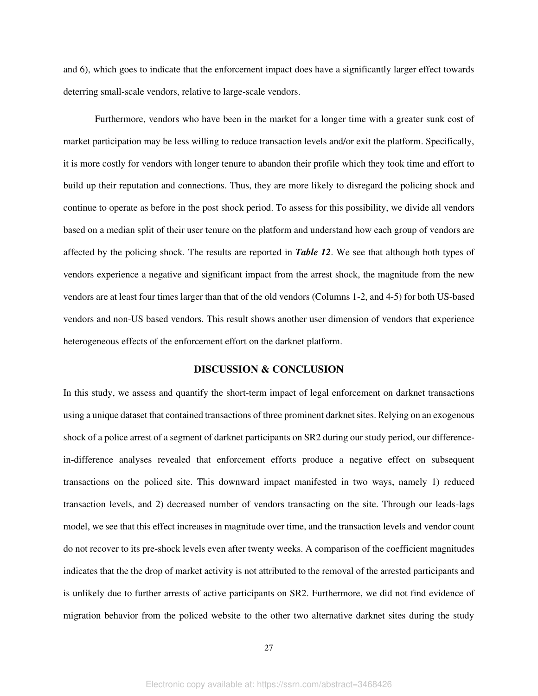and 6), which goes to indicate that the enforcement impact does have a significantly larger effect towards deterring small-scale vendors, relative to large-scale vendors.

Furthermore, vendors who have been in the market for a longer time with a greater sunk cost of market participation may be less willing to reduce transaction levels and/or exit the platform. Specifically, it is more costly for vendors with longer tenure to abandon their profile which they took time and effort to build up their reputation and connections. Thus, they are more likely to disregard the policing shock and continue to operate as before in the post shock period. To assess for this possibility, we divide all vendors based on a median split of their user tenure on the platform and understand how each group of vendors are affected by the policing shock. The results are reported in *Table 12*. We see that although both types of vendors experience a negative and significant impact from the arrest shock, the magnitude from the new vendors are at least four times larger than that of the old vendors (Columns 1-2, and 4-5) for both US-based vendors and non-US based vendors. This result shows another user dimension of vendors that experience heterogeneous effects of the enforcement effort on the darknet platform.

#### **DISCUSSION & CONCLUSION**

In this study, we assess and quantify the short-term impact of legal enforcement on darknet transactions using a unique dataset that contained transactions of three prominent darknet sites. Relying on an exogenous shock of a police arrest of a segment of darknet participants on SR2 during our study period, our differencein-difference analyses revealed that enforcement efforts produce a negative effect on subsequent transactions on the policed site. This downward impact manifested in two ways, namely 1) reduced transaction levels, and 2) decreased number of vendors transacting on the site. Through our leads-lags model, we see that this effect increases in magnitude over time, and the transaction levels and vendor count do not recover to its pre-shock levels even after twenty weeks. A comparison of the coefficient magnitudes indicates that the the drop of market activity is not attributed to the removal of the arrested participants and is unlikely due to further arrests of active participants on SR2. Furthermore, we did not find evidence of migration behavior from the policed website to the other two alternative darknet sites during the study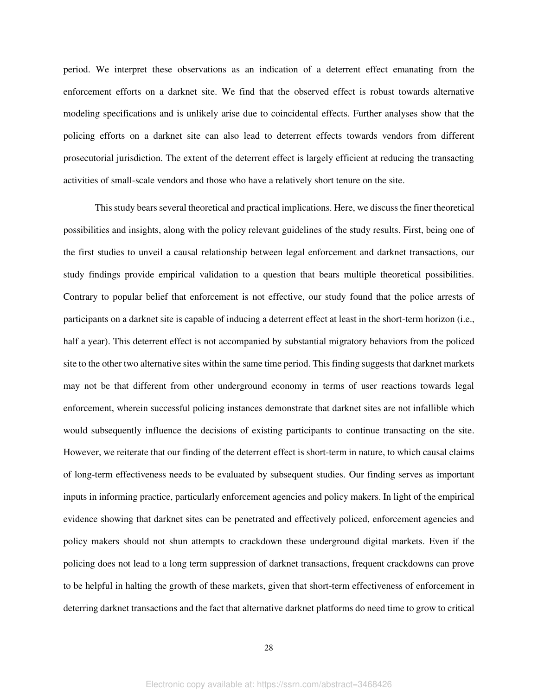period. We interpret these observations as an indication of a deterrent effect emanating from the enforcement efforts on a darknet site. We find that the observed effect is robust towards alternative modeling specifications and is unlikely arise due to coincidental effects. Further analyses show that the policing efforts on a darknet site can also lead to deterrent effects towards vendors from different prosecutorial jurisdiction. The extent of the deterrent effect is largely efficient at reducing the transacting activities of small-scale vendors and those who have a relatively short tenure on the site.

This study bears several theoretical and practical implications. Here, we discuss the finer theoretical possibilities and insights, along with the policy relevant guidelines of the study results. First, being one of the first studies to unveil a causal relationship between legal enforcement and darknet transactions, our study findings provide empirical validation to a question that bears multiple theoretical possibilities. Contrary to popular belief that enforcement is not effective, our study found that the police arrests of participants on a darknet site is capable of inducing a deterrent effect at least in the short-term horizon (i.e., half a year). This deterrent effect is not accompanied by substantial migratory behaviors from the policed site to the other two alternative sites within the same time period. This finding suggests that darknet markets may not be that different from other underground economy in terms of user reactions towards legal enforcement, wherein successful policing instances demonstrate that darknet sites are not infallible which would subsequently influence the decisions of existing participants to continue transacting on the site. However, we reiterate that our finding of the deterrent effect is short-term in nature, to which causal claims of long-term effectiveness needs to be evaluated by subsequent studies. Our finding serves as important inputs in informing practice, particularly enforcement agencies and policy makers. In light of the empirical evidence showing that darknet sites can be penetrated and effectively policed, enforcement agencies and policy makers should not shun attempts to crackdown these underground digital markets. Even if the policing does not lead to a long term suppression of darknet transactions, frequent crackdowns can prove to be helpful in halting the growth of these markets, given that short-term effectiveness of enforcement in deterring darknet transactions and the fact that alternative darknet platforms do need time to grow to critical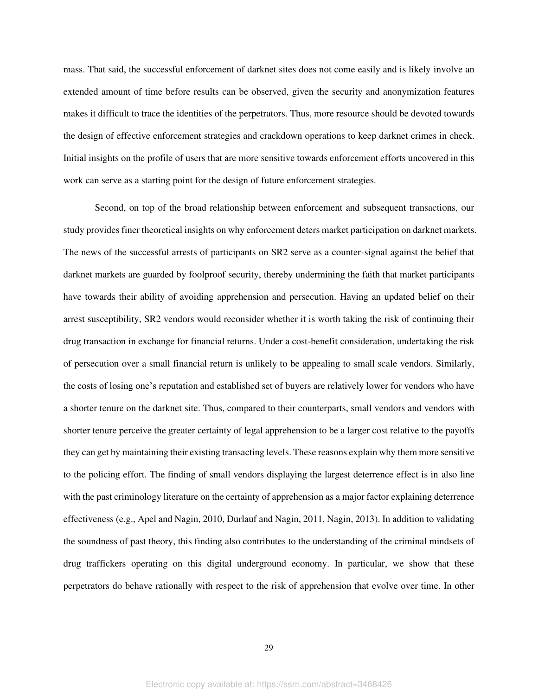mass. That said, the successful enforcement of darknet sites does not come easily and is likely involve an extended amount of time before results can be observed, given the security and anonymization features makes it difficult to trace the identities of the perpetrators. Thus, more resource should be devoted towards the design of effective enforcement strategies and crackdown operations to keep darknet crimes in check. Initial insights on the profile of users that are more sensitive towards enforcement efforts uncovered in this work can serve as a starting point for the design of future enforcement strategies.

Second, on top of the broad relationship between enforcement and subsequent transactions, our study provides finer theoretical insights on why enforcement deters market participation on darknet markets. The news of the successful arrests of participants on SR2 serve as a counter-signal against the belief that darknet markets are guarded by foolproof security, thereby undermining the faith that market participants have towards their ability of avoiding apprehension and persecution. Having an updated belief on their arrest susceptibility, SR2 vendors would reconsider whether it is worth taking the risk of continuing their drug transaction in exchange for financial returns. Under a cost-benefit consideration, undertaking the risk of persecution over a small financial return is unlikely to be appealing to small scale vendors. Similarly, the costs of losing one's reputation and established set of buyers are relatively lower for vendors who have a shorter tenure on the darknet site. Thus, compared to their counterparts, small vendors and vendors with shorter tenure perceive the greater certainty of legal apprehension to be a larger cost relative to the payoffs they can get by maintaining their existing transacting levels. These reasons explain why them more sensitive to the policing effort. The finding of small vendors displaying the largest deterrence effect is in also line with the past criminology literature on the certainty of apprehension as a major factor explaining deterrence effectiveness (e.g., Apel and Nagin, 2010, Durlauf and Nagin, 2011, Nagin, 2013). In addition to validating the soundness of past theory, this finding also contributes to the understanding of the criminal mindsets of drug traffickers operating on this digital underground economy. In particular, we show that these perpetrators do behave rationally with respect to the risk of apprehension that evolve over time. In other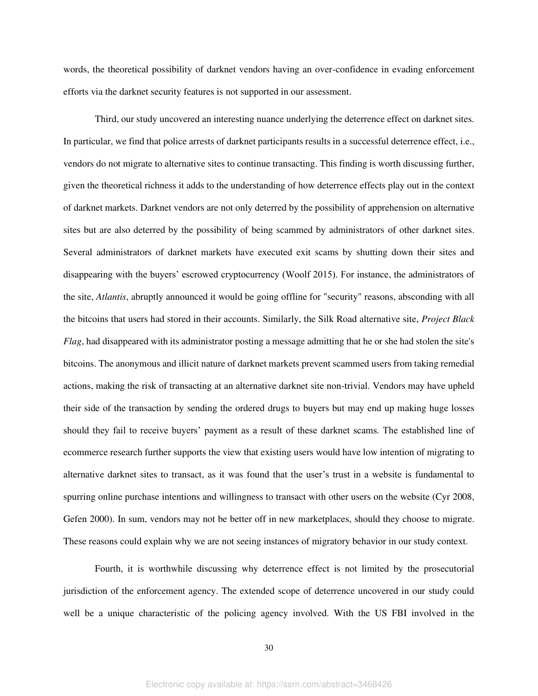words, the theoretical possibility of darknet vendors having an over-confidence in evading enforcement efforts via the darknet security features is not supported in our assessment.

Third, our study uncovered an interesting nuance underlying the deterrence effect on darknet sites. In particular, we find that police arrests of darknet participants results in a successful deterrence effect, i.e., vendors do not migrate to alternative sites to continue transacting. This finding is worth discussing further, given the theoretical richness it adds to the understanding of how deterrence effects play out in the context of darknet markets. Darknet vendors are not only deterred by the possibility of apprehension on alternative sites but are also deterred by the possibility of being scammed by administrators of other darknet sites. Several administrators of darknet markets have executed exit scams by shutting down their sites and disappearing with the buyers' escrowed cryptocurrency (Woolf 2015). For instance, the administrators of the site, *Atlantis*, abruptly announced it would be going offline for "security" reasons, absconding with all the bitcoins that users had stored in their accounts. Similarly, the Silk Road alternative site, *Project Black Flag*, had disappeared with its administrator posting a message admitting that he or she had stolen the site's bitcoins. The anonymous and illicit nature of darknet markets prevent scammed users from taking remedial actions, making the risk of transacting at an alternative darknet site non-trivial. Vendors may have upheld their side of the transaction by sending the ordered drugs to buyers but may end up making huge losses should they fail to receive buyers' payment as a result of these darknet scams. The established line of ecommerce research further supports the view that existing users would have low intention of migrating to alternative darknet sites to transact, as it was found that the user's trust in a website is fundamental to spurring online purchase intentions and willingness to transact with other users on the website (Cyr 2008, Gefen 2000). In sum, vendors may not be better off in new marketplaces, should they choose to migrate. These reasons could explain why we are not seeing instances of migratory behavior in our study context.

Fourth, it is worthwhile discussing why deterrence effect is not limited by the prosecutorial jurisdiction of the enforcement agency. The extended scope of deterrence uncovered in our study could well be a unique characteristic of the policing agency involved. With the US FBI involved in the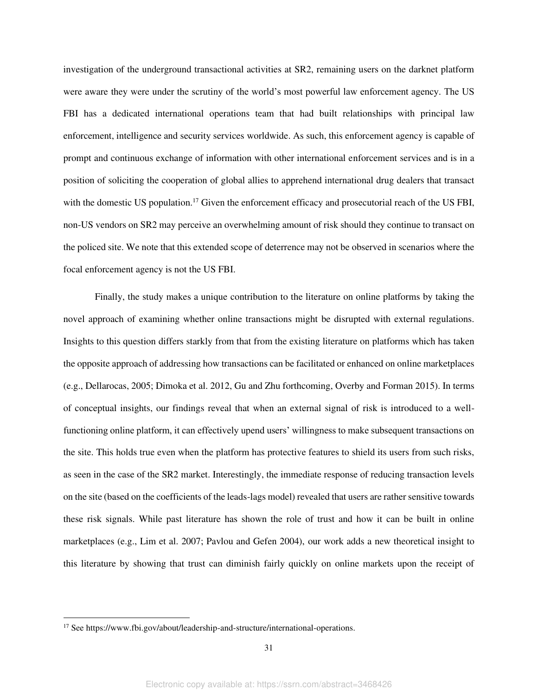investigation of the underground transactional activities at SR2, remaining users on the darknet platform were aware they were under the scrutiny of the world's most powerful law enforcement agency. The US FBI has a dedicated international operations team that had built relationships with principal law enforcement, intelligence and security services worldwide. As such, this enforcement agency is capable of prompt and continuous exchange of information with other international enforcement services and is in a position of soliciting the cooperation of global allies to apprehend international drug dealers that transact with the domestic US population.<sup>17</sup> Given the enforcement efficacy and prosecutorial reach of the US FBI, non-US vendors on SR2 may perceive an overwhelming amount of risk should they continue to transact on the policed site. We note that this extended scope of deterrence may not be observed in scenarios where the focal enforcement agency is not the US FBI.

Finally, the study makes a unique contribution to the literature on online platforms by taking the novel approach of examining whether online transactions might be disrupted with external regulations. Insights to this question differs starkly from that from the existing literature on platforms which has taken the opposite approach of addressing how transactions can be facilitated or enhanced on online marketplaces (e.g., Dellarocas, 2005; Dimoka et al. 2012, Gu and Zhu forthcoming, Overby and Forman 2015). In terms of conceptual insights, our findings reveal that when an external signal of risk is introduced to a wellfunctioning online platform, it can effectively upend users' willingness to make subsequent transactions on the site. This holds true even when the platform has protective features to shield its users from such risks, as seen in the case of the SR2 market. Interestingly, the immediate response of reducing transaction levels on the site (based on the coefficients of the leads-lags model) revealed that users are rather sensitive towards these risk signals. While past literature has shown the role of trust and how it can be built in online marketplaces (e.g., Lim et al. 2007; Pavlou and Gefen 2004), our work adds a new theoretical insight to this literature by showing that trust can diminish fairly quickly on online markets upon the receipt of

<sup>&</sup>lt;sup>17</sup> See https://www.fbi.gov/about/leadership-and-structure/international-operations.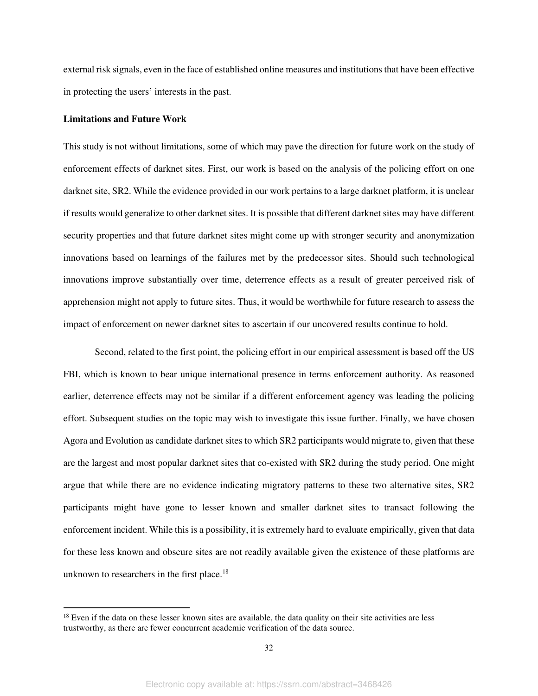external risk signals, even in the face of established online measures and institutions that have been effective in protecting the users' interests in the past.

#### **Limitations and Future Work**

This study is not without limitations, some of which may pave the direction for future work on the study of enforcement effects of darknet sites. First, our work is based on the analysis of the policing effort on one darknet site, SR2. While the evidence provided in our work pertains to a large darknet platform, it is unclear if results would generalize to other darknet sites. It is possible that different darknet sites may have different security properties and that future darknet sites might come up with stronger security and anonymization innovations based on learnings of the failures met by the predecessor sites. Should such technological innovations improve substantially over time, deterrence effects as a result of greater perceived risk of apprehension might not apply to future sites. Thus, it would be worthwhile for future research to assess the impact of enforcement on newer darknet sites to ascertain if our uncovered results continue to hold.

Second, related to the first point, the policing effort in our empirical assessment is based off the US FBI, which is known to bear unique international presence in terms enforcement authority. As reasoned earlier, deterrence effects may not be similar if a different enforcement agency was leading the policing effort. Subsequent studies on the topic may wish to investigate this issue further. Finally, we have chosen Agora and Evolution as candidate darknet sites to which SR2 participants would migrate to, given that these are the largest and most popular darknet sites that co-existed with SR2 during the study period. One might argue that while there are no evidence indicating migratory patterns to these two alternative sites, SR2 participants might have gone to lesser known and smaller darknet sites to transact following the enforcement incident. While this is a possibility, it is extremely hard to evaluate empirically, given that data for these less known and obscure sites are not readily available given the existence of these platforms are unknown to researchers in the first place.<sup>18</sup>

 $18$  Even if the data on these lesser known sites are available, the data quality on their site activities are less trustworthy, as there are fewer concurrent academic verification of the data source.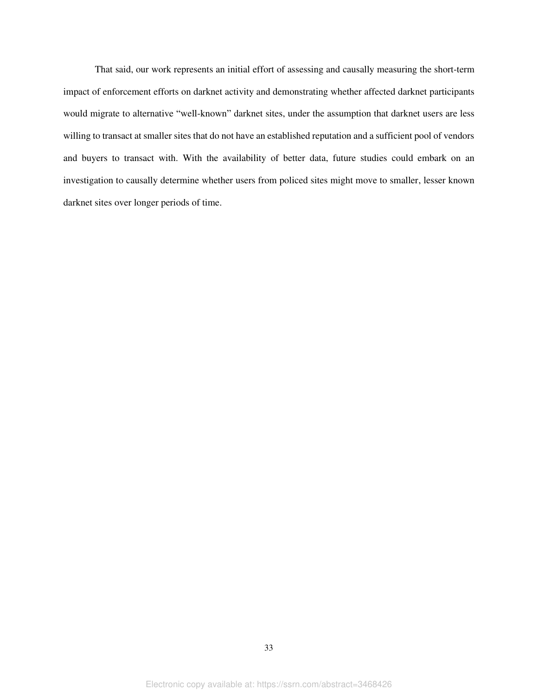That said, our work represents an initial effort of assessing and causally measuring the short-term impact of enforcement efforts on darknet activity and demonstrating whether affected darknet participants would migrate to alternative "well-known" darknet sites, under the assumption that darknet users are less willing to transact at smaller sites that do not have an established reputation and a sufficient pool of vendors and buyers to transact with. With the availability of better data, future studies could embark on an investigation to causally determine whether users from policed sites might move to smaller, lesser known darknet sites over longer periods of time.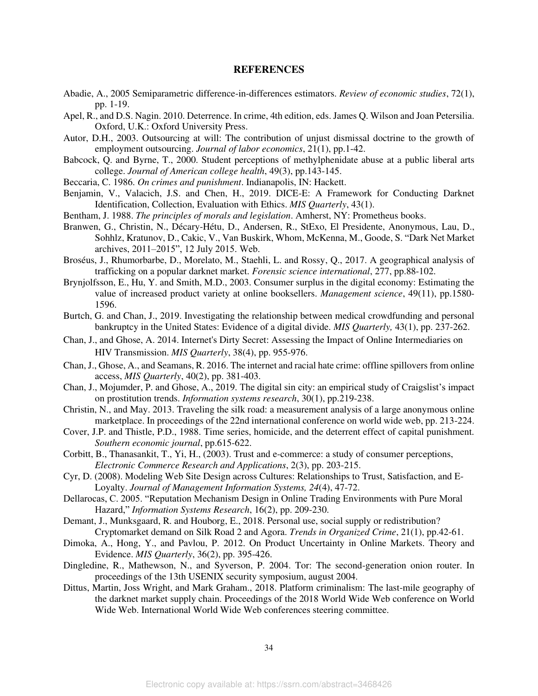#### **REFERENCES**

- Abadie, A., 2005 Semiparametric difference-in-differences estimators. *Review of economic studies*, 72(1), pp. 1-19.
- Apel, R., and D.S. Nagin. 2010. Deterrence. In crime, 4th edition, eds. James Q. Wilson and Joan Petersilia. Oxford, U.K.: Oxford University Press.
- Autor, D.H., 2003. Outsourcing at will: The contribution of unjust dismissal doctrine to the growth of employment outsourcing. *Journal of labor economics*, 21(1), pp.1-42.
- Babcock, Q. and Byrne, T., 2000. Student perceptions of methylphenidate abuse at a public liberal arts college. *Journal of American college health*, 49(3), pp.143-145.
- Beccaria, C. 1986. *On crimes and punishment*. Indianapolis, IN: Hackett.
- Benjamin, V., Valacich, J.S. and Chen, H., 2019. DICE-E: A Framework for Conducting Darknet Identification, Collection, Evaluation with Ethics. *MIS Quarterly*, 43(1).
- Bentham, J. 1988. *The principles of morals and legislation*. Amherst, NY: Prometheus books.
- Branwen, G., Christin, N., Décary-Hétu, D., Andersen, R., StExo, El Presidente, Anonymous, Lau, D., Sohhlz, Kratunov, D., Cakic, V., Van Buskirk, Whom, McKenna, M., Goode, S. "Dark Net Market archives, 2011–2015", 12 July 2015. Web.
- Broséus, J., Rhumorbarbe, D., Morelato, M., Staehli, L. and Rossy, Q., 2017. A geographical analysis of trafficking on a popular darknet market. *Forensic science international*, 277, pp.88-102.
- Brynjolfsson, E., Hu, Y. and Smith, M.D., 2003. Consumer surplus in the digital economy: Estimating the value of increased product variety at online booksellers. *Management science*, 49(11), pp.1580- 1596.
- Burtch, G. and Chan, J., 2019. Investigating the relationship between medical crowdfunding and personal bankruptcy in the United States: Evidence of a digital divide. *MIS Quarterly,* 43(1), pp. 237-262.
- Chan, J., and Ghose, A. 2014. Internet's Dirty Secret: Assessing the Impact of Online Intermediaries on HIV Transmission. *MIS Quarterly*, 38(4), pp. 955-976.
- Chan, J., Ghose, A., and Seamans, R. 2016. The internet and racial hate crime: offline spillovers from online access, *MIS Quarterly*, 40(2), pp. 381-403.
- Chan, J., Mojumder, P. and Ghose, A., 2019. The digital sin city: an empirical study of Craigslist's impact on prostitution trends. *Information systems research*, 30(1), pp.219-238.
- Christin, N., and May. 2013. Traveling the silk road: a measurement analysis of a large anonymous online marketplace. In proceedings of the 22nd international conference on world wide web, pp. 213-224.
- Cover, J.P. and Thistle, P.D., 1988. Time series, homicide, and the deterrent effect of capital punishment. *Southern economic journal*, pp.615-622.
- Corbitt, B., Thanasankit, T., Yi, H., (2003). Trust and e-commerce: a study of consumer perceptions, *Electronic Commerce Research and Applications*, 2(3), pp. 203-215.
- Cyr, D. (2008). Modeling Web Site Design across Cultures: Relationships to Trust, Satisfaction, and E-Loyalty. *Journal of Management Information Systems, 24*(4), 47-72.
- Dellarocas, C. 2005. "Reputation Mechanism Design in Online Trading Environments with Pure Moral Hazard," *Information Systems Research*, 16(2), pp. 209-230.
- Demant, J., Munksgaard, R. and Houborg, E., 2018. Personal use, social supply or redistribution? Cryptomarket demand on Silk Road 2 and Agora. *Trends in Organized Crime*, 21(1), pp.42-61.
- Dimoka, A., Hong, Y., and Pavlou, P. 2012. On Product Uncertainty in Online Markets. Theory and Evidence. *MIS Quarterly*, 36(2), pp. 395-426.
- Dingledine, R., Mathewson, N., and Syverson, P. 2004. Tor: The second-generation onion router. In proceedings of the 13th USENIX security symposium, august 2004.
- Dittus, Martin, Joss Wright, and Mark Graham., 2018. Platform criminalism: The last-mile geography of the darknet market supply chain. Proceedings of the 2018 World Wide Web conference on World Wide Web. International World Wide Web conferences steering committee.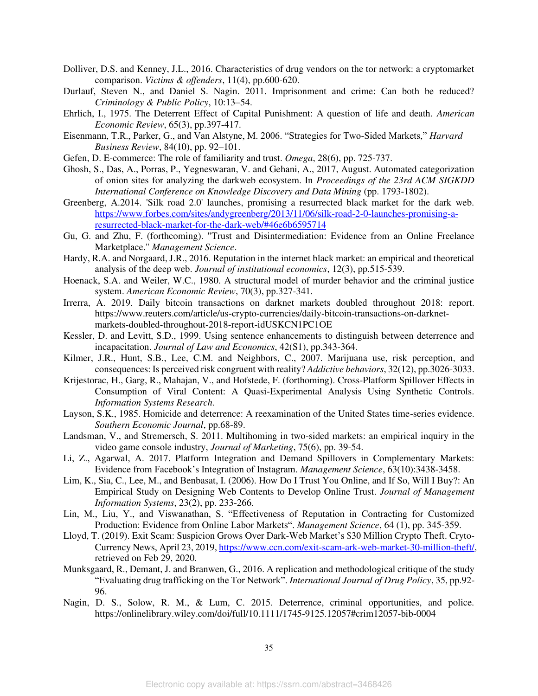- Dolliver, D.S. and Kenney, J.L., 2016. Characteristics of drug vendors on the tor network: a cryptomarket comparison. *Victims & offenders*, 11(4), pp.600-620.
- Durlauf, Steven N., and Daniel S. Nagin. 2011. Imprisonment and crime: Can both be reduced? *Criminology & Public Policy*, 10:13–54.
- Ehrlich, I., 1975. The Deterrent Effect of Capital Punishment: A question of life and death. *American Economic Review*, 65(3), pp.397-417.
- Eisenmann, T.R., Parker, G., and Van Alstyne, M. 2006. "Strategies for Two-Sided Markets," *Harvard Business Review*, 84(10), pp. 92–101.
- Gefen, D. E-commerce: The role of familiarity and trust. *Omega*, 28(6), pp. 725-737.
- Ghosh, S., Das, A., Porras, P., Yegneswaran, V. and Gehani, A., 2017, August. Automated categorization of onion sites for analyzing the darkweb ecosystem. In *Proceedings of the 23rd ACM SIGKDD International Conference on Knowledge Discovery and Data Mining* (pp. 1793-1802).
- Greenberg, A.2014. 'Silk road 2.0' launches, promising a resurrected black market for the dark web. [https://www.forbes.com/sites/andygreenberg/2013/11/06/silk-road-2-0-launches-promising-a](https://www.forbes.com/sites/andygreenberg/2013/11/06/silk-road-2-0-launches-promising-a-resurrected-black-market-for-the-dark-web/#46e6b6595714)[resurrected-black-market-for-the-dark-web/#46e6b6595714](https://www.forbes.com/sites/andygreenberg/2013/11/06/silk-road-2-0-launches-promising-a-resurrected-black-market-for-the-dark-web/#46e6b6595714)
- Gu, G. and Zhu, F. (forthcoming). "Trust and Disintermediation: Evidence from an Online Freelance Marketplace." *Management Science*.
- Hardy, R.A. and Norgaard, J.R., 2016. Reputation in the internet black market: an empirical and theoretical analysis of the deep web. *Journal of institutional economics*, 12(3), pp.515-539.
- Hoenack, S.A. and Weiler, W.C., 1980. A structural model of murder behavior and the criminal justice system. *American Economic Review*, 70(3), pp.327-341.
- Irrerra, A. 2019. Daily bitcoin transactions on darknet markets doubled throughout 2018: report. https://www.reuters.com/article/us-crypto-currencies/daily-bitcoin-transactions-on-darknetmarkets-doubled-throughout-2018-report-idUSKCN1PC1OE
- Kessler, D. and Levitt, S.D., 1999. Using sentence enhancements to distinguish between deterrence and incapacitation. *Journal of Law and Economics*, 42(S1), pp.343-364.
- Kilmer, J.R., Hunt, S.B., Lee, C.M. and Neighbors, C., 2007. Marijuana use, risk perception, and consequences: Is perceived risk congruent with reality? *Addictive behaviors*, 32(12), pp.3026-3033.
- Krijestorac, H., Garg, R., Mahajan, V., and Hofstede, F. (forthoming). Cross-Platform Spillover Effects in Consumption of Viral Content: A Quasi-Experimental Analysis Using Synthetic Controls. *Information Systems Research*.
- Layson, S.K., 1985. Homicide and deterrence: A reexamination of the United States time-series evidence. *Southern Economic Journal*, pp.68-89.
- Landsman, V., and Stremersch, S. 2011. Multihoming in two-sided markets: an empirical inquiry in the video game console industry, *Journal of Marketing*, 75(6), pp. 39-54.
- Li, Z., Agarwal, A. 2017. Platform Integration and Demand Spillovers in Complementary Markets: Evidence from Facebook's Integration of Instagram. *Management Science*, 63(10):3438-3458.
- Lim, K., Sia, C., Lee, M., and Benbasat, I. (2006). How Do I Trust You Online, and If So, Will I Buy?: An Empirical Study on Designing Web Contents to Develop Online Trust. *Journal of Management Information Systems*, 23(2), pp. 233-266.
- Lin, M., Liu, Y., and Viswanathan, S. "Effectiveness of Reputation in Contracting for Customized Production: Evidence from Online Labor Markets". *Management Science*, 64 (1), pp. 345-359.
- Lloyd, T. (2019). Exit Scam: Suspicion Grows Over Dark-Web Market's \$30 Million Crypto Theft. Cryto-Currency News, April 23, 2019[, https://www.ccn.com/exit-scam-ark-web-market-30-million-theft/,](https://www.ccn.com/exit-scam-ark-web-market-30-million-theft/) retrieved on Feb 29, 2020.
- Munksgaard, R., Demant, J. and Branwen, G., 2016. A replication and methodological critique of the study "Evaluating drug trafficking on the Tor Network". *International Journal of Drug Policy*, 35, pp.92- 96.
- Nagin, D. S., Solow, R. M., & Lum, C. 2015. Deterrence, criminal opportunities, and police. https://onlinelibrary.wiley.com/doi/full/10.1111/1745-9125.12057#crim12057-bib-0004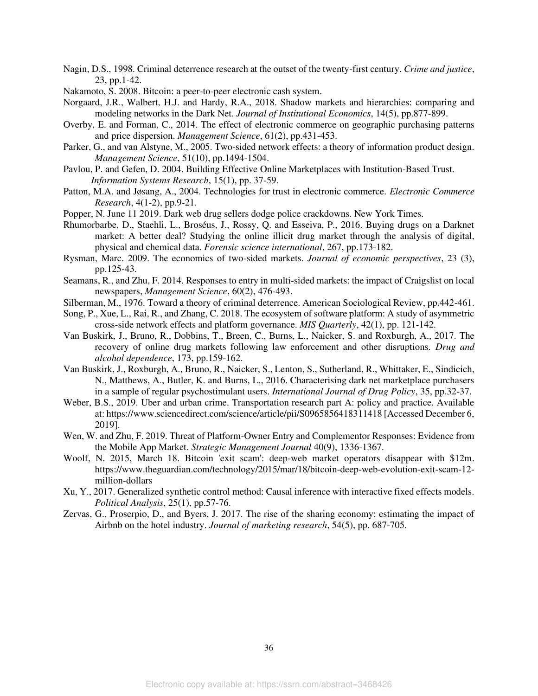- Nagin, D.S., 1998. Criminal deterrence research at the outset of the twenty-first century. *Crime and justice*, 23, pp.1-42.
- Nakamoto, S. 2008. Bitcoin: a peer-to-peer electronic cash system.
- Norgaard, J.R., Walbert, H.J. and Hardy, R.A., 2018. Shadow markets and hierarchies: comparing and modeling networks in the Dark Net. *Journal of Institutional Economics*, 14(5), pp.877-899.
- Overby, E. and Forman, C., 2014. The effect of electronic commerce on geographic purchasing patterns and price dispersion. *Management Science*, 61(2), pp.431-453.
- Parker, G., and van Alstyne, M., 2005. Two-sided network effects: a theory of information product design. *Management Science*, 51(10), pp.1494-1504.
- Pavlou, P. and Gefen, D. 2004. Building Effective Online Marketplaces with Institution-Based Trust. *Information Systems Research*, 15(1), pp. 37-59.
- Patton, M.A. and Jøsang, A., 2004. Technologies for trust in electronic commerce. *Electronic Commerce Research*, 4(1-2), pp.9-21.
- Popper, N. June 11 2019. Dark web drug sellers dodge police crackdowns. New York Times.
- Rhumorbarbe, D., Staehli, L., Broséus, J., Rossy, Q. and Esseiva, P., 2016. Buying drugs on a Darknet market: A better deal? Studying the online illicit drug market through the analysis of digital, physical and chemical data. *Forensic science international*, 267, pp.173-182.
- Rysman, Marc. 2009. The economics of two-sided markets. *Journal of economic perspectives*, 23 (3), pp.125-43.
- Seamans, R., and Zhu, F. 2014. Responses to entry in multi-sided markets: the impact of Craigslist on local newspapers, *Management Science*, 60(2), 476-493.
- Silberman, M., 1976. Toward a theory of criminal deterrence. American Sociological Review, pp.442-461.
- Song, P., Xue, L., Rai, R., and Zhang, C. 2018. The ecosystem of software platform: A study of asymmetric cross-side network effects and platform governance. *MIS Quarterly*, 42(1), pp. 121-142.
- Van Buskirk, J., Bruno, R., Dobbins, T., Breen, C., Burns, L., Naicker, S. and Roxburgh, A., 2017. The recovery of online drug markets following law enforcement and other disruptions. *Drug and alcohol dependence*, 173, pp.159-162.
- Van Buskirk, J., Roxburgh, A., Bruno, R., Naicker, S., Lenton, S., Sutherland, R., Whittaker, E., Sindicich, N., Matthews, A., Butler, K. and Burns, L., 2016. Characterising dark net marketplace purchasers in a sample of regular psychostimulant users. *International Journal of Drug Policy*, 35, pp.32-37.
- Weber, B.S., 2019. Uber and urban crime. Transportation research part A: policy and practice. Available at: https://www.sciencedirect.com/science/article/pii/S0965856418311418 [Accessed December 6, 2019].
- Wen, W. and Zhu, F. 2019. Threat of Platform-Owner Entry and Complementor Responses: Evidence from the Mobile App Market. *Strategic Management Journal* 40(9), 1336-1367.
- Woolf, N. 2015, March 18. Bitcoin 'exit scam': deep-web market operators disappear with \$12m. https://www.theguardian.com/technology/2015/mar/18/bitcoin-deep-web-evolution-exit-scam-12 million-dollars
- Xu, Y., 2017. Generalized synthetic control method: Causal inference with interactive fixed effects models. *Political Analysis*, 25(1), pp.57-76.
- Zervas, G., Proserpio, D., and Byers, J. 2017. The rise of the sharing economy: estimating the impact of Airbnb on the hotel industry. *Journal of marketing research*, 54(5), pp. 687-705.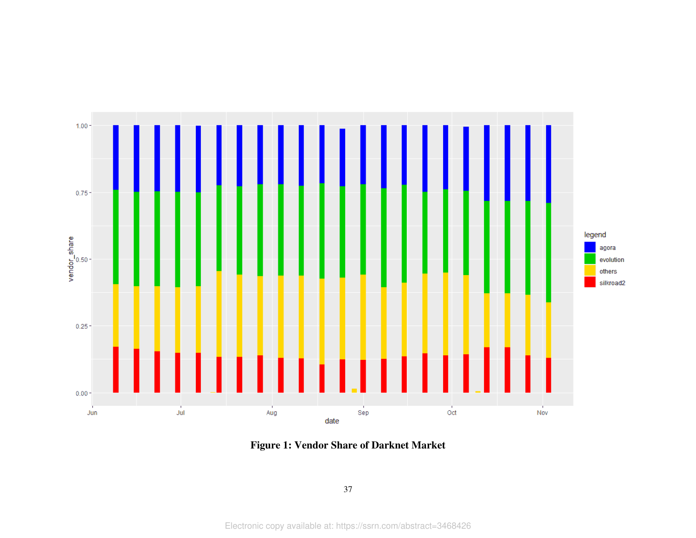

**Figure 1: Vendor Share of Darknet Market**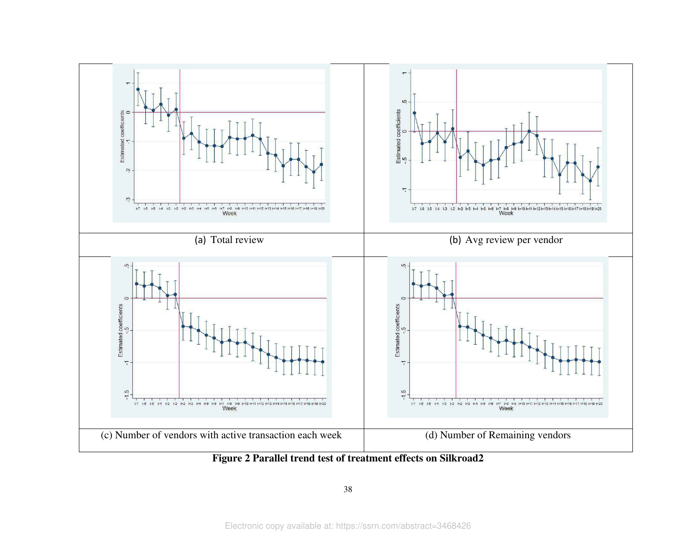

<span id="page-38-0"></span>**Figure 2 Parallel trend test of treatment effects on Silkroad2**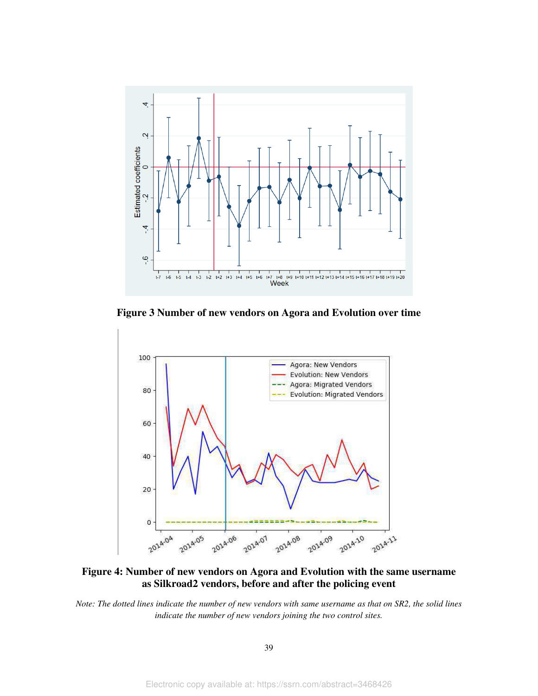

<span id="page-39-0"></span>**Figure 3 Number of new vendors on Agora and Evolution over time** 



<span id="page-39-1"></span>**Figure 4: Number of new vendors on Agora and Evolution with the same username as Silkroad2 vendors, before and after the policing event** 

*Note: The dotted lines indicate the number of new vendors with same username as that on SR2, the solid lines indicate the number of new vendors joining the two control sites.*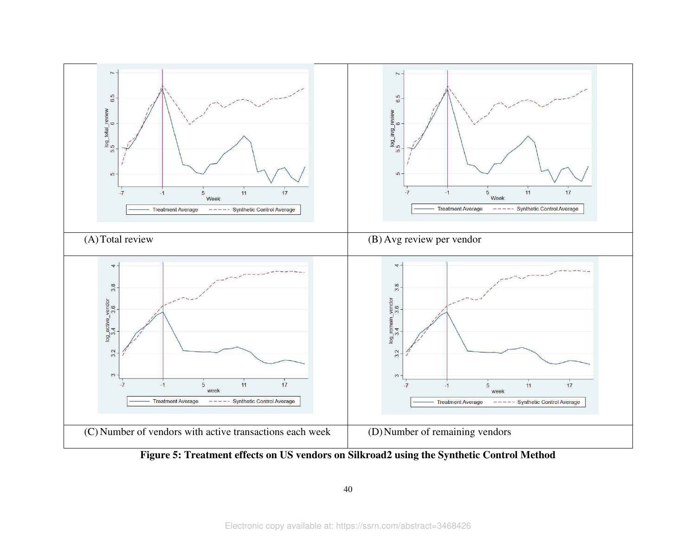

40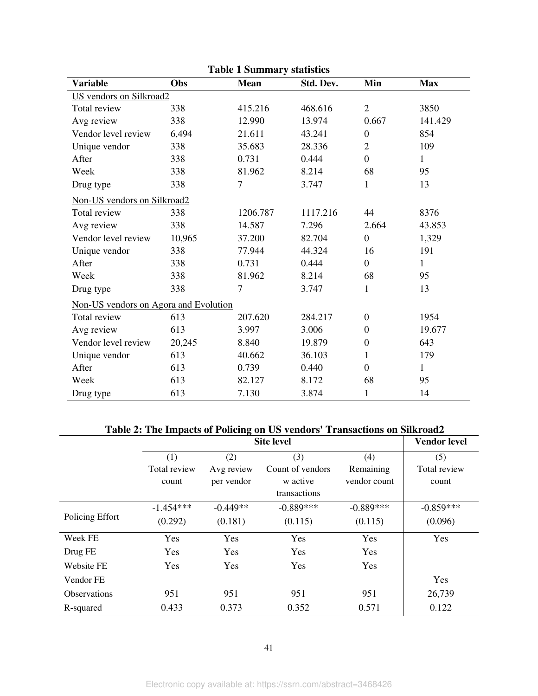<span id="page-41-0"></span>

| <b>Table 1 Summary statistics</b>     |        |             |           |                  |              |  |  |  |
|---------------------------------------|--------|-------------|-----------|------------------|--------------|--|--|--|
| <b>Variable</b>                       | Obs    | <b>Mean</b> | Std. Dev. | Min              | <b>Max</b>   |  |  |  |
| <b>US</b> vendors on Silkroad2        |        |             |           |                  |              |  |  |  |
| Total review                          | 338    | 415.216     | 468.616   | $\overline{2}$   | 3850         |  |  |  |
| Avg review                            | 338    | 12.990      | 13.974    | 0.667            | 141.429      |  |  |  |
| Vendor level review                   | 6,494  | 21.611      | 43.241    | $\boldsymbol{0}$ | 854          |  |  |  |
| Unique vendor                         | 338    | 35.683      | 28.336    | $\overline{2}$   | 109          |  |  |  |
| After                                 | 338    | 0.731       | 0.444     | $\boldsymbol{0}$ | $\mathbf{1}$ |  |  |  |
| Week                                  | 338    | 81.962      | 8.214     | 68               | 95           |  |  |  |
| Drug type                             | 338    | 7           | 3.747     | 1                | 13           |  |  |  |
| Non-US vendors on Silkroad2           |        |             |           |                  |              |  |  |  |
| Total review                          | 338    | 1206.787    | 1117.216  | 44               | 8376         |  |  |  |
| Avg review                            | 338    | 14.587      | 7.296     | 2.664            | 43.853       |  |  |  |
| Vendor level review                   | 10,965 | 37.200      | 82.704    | $\overline{0}$   | 1,329        |  |  |  |
| Unique vendor                         | 338    | 77.944      | 44.324    | 16               | 191          |  |  |  |
| After                                 | 338    | 0.731       | 0.444     | $\boldsymbol{0}$ | $\mathbf{1}$ |  |  |  |
| Week                                  | 338    | 81.962      | 8.214     | 68               | 95           |  |  |  |
| Drug type                             | 338    | $\tau$      | 3.747     | 1                | 13           |  |  |  |
| Non-US vendors on Agora and Evolution |        |             |           |                  |              |  |  |  |
| Total review                          | 613    | 207.620     | 284.217   | $\boldsymbol{0}$ | 1954         |  |  |  |
| Avg review                            | 613    | 3.997       | 3.006     | $\theta$         | 19.677       |  |  |  |
| Vendor level review                   | 20,245 | 8.840       | 19.879    | $\boldsymbol{0}$ | 643          |  |  |  |
| Unique vendor                         | 613    | 40.662      | 36.103    | 1                | 179          |  |  |  |
| After                                 | 613    | 0.739       | 0.440     | $\overline{0}$   | 1            |  |  |  |
| Week                                  | 613    | 82.127      | 8.172     | 68               | 95           |  |  |  |
| Drug type                             | 613    | 7.130       | 3.874     | $\mathbf{1}$     | 14           |  |  |  |

**Table 1 Summary statistics** 

# **Table 2: The Impacts of Policing on US vendors' Transactions on Silkroad2**

<span id="page-41-1"></span>

|                     |              | <b>Vendor level</b> |                  |              |              |
|---------------------|--------------|---------------------|------------------|--------------|--------------|
|                     | (1)          | (2)                 | (3)              | (4)          | (5)          |
|                     | Total review | Avg review          | Count of vendors | Remaining    | Total review |
|                     | count        | per vendor          | w active         | vendor count | count        |
|                     |              |                     | transactions     |              |              |
|                     | $-1.454***$  | $-0.449**$          | $-0.889***$      | $-0.889***$  | $-0.859***$  |
| Policing Effort     | (0.292)      | (0.181)             | (0.115)          | (0.115)      | (0.096)      |
| Week FE             | Yes          | Yes                 | Yes              | Yes          | Yes          |
| Drug FE             | Yes          | Yes                 | Yes              | Yes          |              |
| <b>Website FE</b>   | Yes          | Yes                 | Yes              | Yes          |              |
| Vendor FE           |              |                     |                  |              | Yes          |
| <b>Observations</b> | 951          | 951                 | 951              | 951          | 26,739       |
| R-squared           | 0.433        | 0.373               | 0.352            | 0.571        | 0.122        |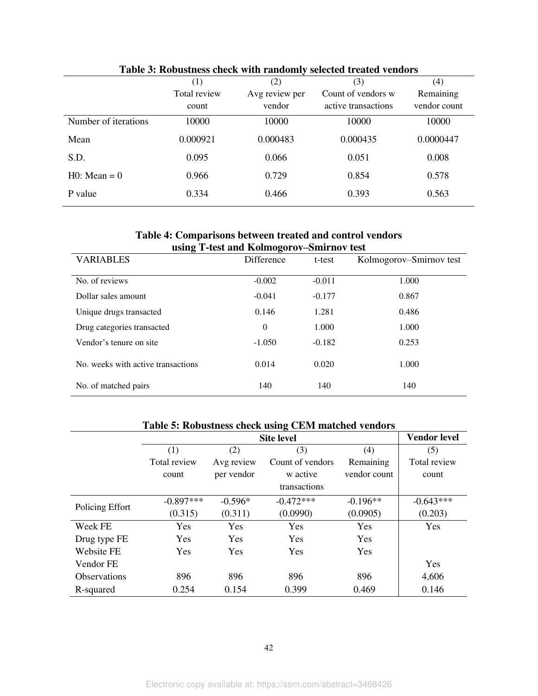<span id="page-42-0"></span>

| Table 3: Robustness check with randomly selected treated vendors |              |                |                     |              |  |  |  |  |  |
|------------------------------------------------------------------|--------------|----------------|---------------------|--------------|--|--|--|--|--|
|                                                                  | (1)          | (2)            | (3)                 | (4)          |  |  |  |  |  |
|                                                                  | Total review | Avg review per | Count of vendors w  | Remaining    |  |  |  |  |  |
|                                                                  | count        | vendor         | active transactions | vendor count |  |  |  |  |  |
| Number of iterations                                             | 10000        | 10000          | 10000               | 10000        |  |  |  |  |  |
| Mean                                                             | 0.000921     | 0.000483       | 0.000435            | 0.0000447    |  |  |  |  |  |
| S.D.                                                             | 0.095        | 0.066          | 0.051               | 0.008        |  |  |  |  |  |
| $HO: Mean = 0$                                                   | 0.966        | 0.729          | 0.854               | 0.578        |  |  |  |  |  |
| P value                                                          | 0.334        | 0.466          | 0.393               | 0.563        |  |  |  |  |  |

## **Table 3: Robustness check with randomly selected treated vendors**

## **Table 4: Comparisons between treated and control vendors using T-test and Kolmogorov–Smirnov test**

<span id="page-42-1"></span>

| $\frac{1}{2}$ and $\frac{1}{2}$ and $\frac{1}{2}$ and $\frac{1}{2}$ and $\frac{1}{2}$ and $\frac{1}{2}$ and $\frac{1}{2}$<br><b>VARIABLES</b> | Difference   | t-test   | Kolmogorov–Smirnov test |
|-----------------------------------------------------------------------------------------------------------------------------------------------|--------------|----------|-------------------------|
| No. of reviews                                                                                                                                | $-0.002$     | $-0.011$ | 1.000                   |
| Dollar sales amount                                                                                                                           | $-0.041$     | $-0.177$ | 0.867                   |
|                                                                                                                                               |              |          |                         |
| Unique drugs transacted                                                                                                                       | 0.146        | 1.281    | 0.486                   |
| Drug categories transacted                                                                                                                    | $\mathbf{0}$ | 1.000    | 1.000                   |
| Vendor's tenure on site                                                                                                                       | $-1.050$     | $-0.182$ | 0.253                   |
| No. weeks with active transactions                                                                                                            | 0.014        | 0.020    | 1.000                   |
| No. of matched pairs                                                                                                                          | 140          | 140      | 140                     |

# **Table 5: Robustness check using CEM matched vendors**

<span id="page-42-2"></span>

|                     |              | <b>Vendor level</b> |                  |              |              |
|---------------------|--------------|---------------------|------------------|--------------|--------------|
|                     | (1)          | (2)                 | (3)              | (4)          | (5)          |
|                     | Total review | Avg review          | Count of vendors | Remaining    | Total review |
|                     | count        | per vendor          | w active         | vendor count | count        |
|                     |              |                     | transactions     |              |              |
|                     | $-0.897***$  | $-0.596*$           | $-0.472***$      | $-0.196**$   | $-0.643***$  |
| Policing Effort     | (0.315)      | (0.311)             | (0.0990)         | (0.0905)     | (0.203)      |
| Week FE             | <b>Yes</b>   | Yes                 | Yes              | <b>Yes</b>   | Yes          |
| Drug type FE        | Yes          | <b>Yes</b>          | <b>Yes</b>       | <b>Yes</b>   |              |
| Website FE          | <b>Yes</b>   | <b>Yes</b>          | <b>Yes</b>       | <b>Yes</b>   |              |
| Vendor FE           |              |                     |                  |              | Yes          |
| <b>Observations</b> | 896          | 896                 | 896              | 896          | 4,606        |
| R-squared           | 0.254        | 0.154               | 0.399            | 0.469        | 0.146        |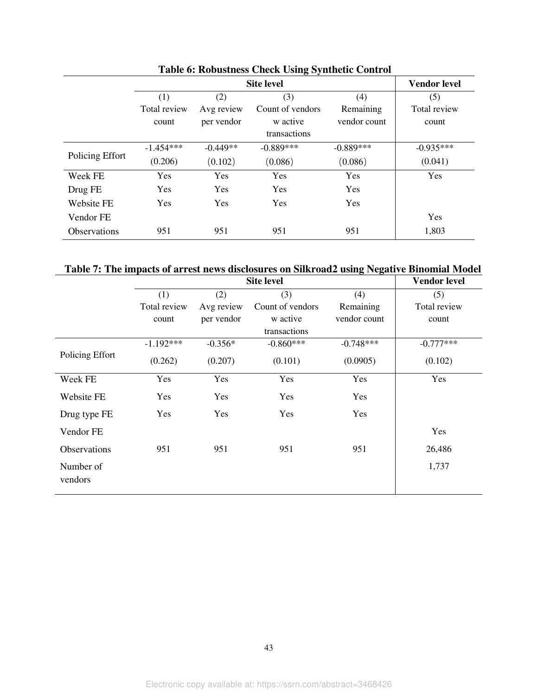|                     |              | <b>Site level</b> |                  |              |              |  |
|---------------------|--------------|-------------------|------------------|--------------|--------------|--|
|                     | (1)          | (2)               | (3)              | (4)          | (5)          |  |
|                     | Total review | Avg review        | Count of vendors | Remaining    | Total review |  |
|                     | count        | per vendor        | w active         | vendor count | count        |  |
|                     |              |                   | transactions     |              |              |  |
|                     | $-1.454***$  | $-0.449**$        | $-0.889***$      | $-0.889***$  | $-0.935***$  |  |
| Policing Effort     | (0.206)      | (0.102)           | (0.086)          | (0.086)      | (0.041)      |  |
| Week FE             | Yes          | Yes               | <b>Yes</b>       | <b>Yes</b>   | Yes          |  |
| Drug FE             | Yes          | <b>Yes</b>        | <b>Yes</b>       | <b>Yes</b>   |              |  |
| Website FE          | <b>Yes</b>   | <b>Yes</b>        | <b>Yes</b>       | <b>Yes</b>   |              |  |
| Vendor FE           |              |                   |                  |              | Yes          |  |
| <b>Observations</b> | 951          | 951               | 951              | 951          | 1,803        |  |

# **Table 6: Robustness Check Using Synthetic Control**

<span id="page-43-0"></span>**Table 7: The impacts of arrest news disclosures on Silkroad2 using Negative Binomial Model** 

|                      |              |            | <b>Site level</b> |              | <b>Vendor level</b> |
|----------------------|--------------|------------|-------------------|--------------|---------------------|
|                      | (1)          | (2)        | (3)               | (4)          | (5)                 |
|                      | Total review | Avg review | Count of vendors  | Remaining    | Total review        |
|                      | count        | per vendor | w active          | vendor count | count               |
|                      |              |            | transactions      |              |                     |
|                      | $-1.192***$  | $-0.356*$  | $-0.860***$       | $-0.748***$  | $-0.777***$         |
| Policing Effort      | (0.262)      | (0.207)    | (0.101)           | (0.0905)     | (0.102)             |
| Week FE              | Yes          | Yes        | Yes               | Yes          | Yes                 |
| Website FE           | Yes          | Yes        | Yes               | Yes          |                     |
| Drug type FE         | Yes          | Yes        | Yes               | Yes          |                     |
| Vendor FE            |              |            |                   |              | Yes                 |
| <b>Observations</b>  | 951          | 951        | 951               | 951          | 26,486              |
| Number of<br>vendors |              |            |                   |              | 1,737               |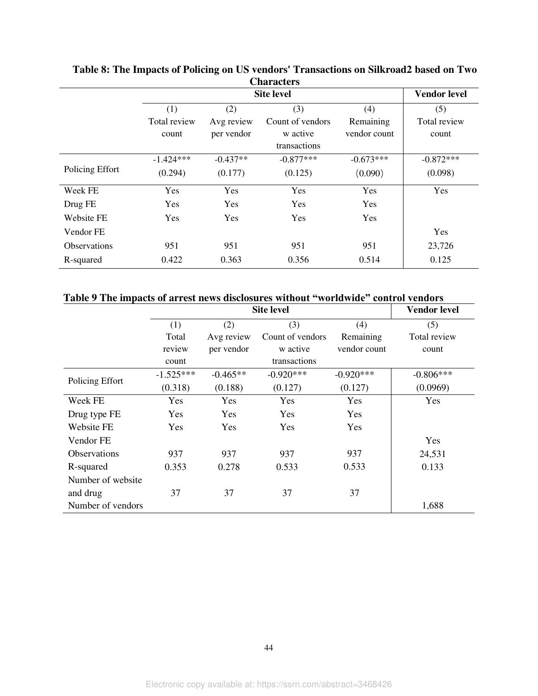| UMMUNIST            |              |                     |                  |              |              |  |  |  |
|---------------------|--------------|---------------------|------------------|--------------|--------------|--|--|--|
|                     |              | <b>Vendor level</b> |                  |              |              |  |  |  |
|                     | (1)          | (2)                 | (3)              | (4)          | (5)          |  |  |  |
|                     | Total review | Avg review          | Count of vendors | Remaining    | Total review |  |  |  |
|                     | count        | per vendor          | w active         | vendor count | count        |  |  |  |
|                     |              |                     | transactions     |              |              |  |  |  |
| Policing Effort     | $-1.424***$  | $-0.437**$          | $-0.877***$      | $-0.673***$  | $-0.872***$  |  |  |  |
|                     | (0.294)      | (0.177)             | (0.125)          | (0.090)      | (0.098)      |  |  |  |
| Week FE             | Yes          | Yes                 | Yes              | Yes          | Yes          |  |  |  |
| Drug FE             | Yes          | Yes                 | Yes              | Yes          |              |  |  |  |
| <b>Website FE</b>   | Yes          | Yes                 | Yes              | Yes          |              |  |  |  |
| Vendor FE           |              |                     |                  |              | Yes          |  |  |  |
| <b>Observations</b> | 951          | 951                 | 951              | 951          | 23,726       |  |  |  |
| R-squared           | 0.422        | 0.363               | 0.356            | 0.514        | 0.125        |  |  |  |

**Table 8: The Impacts of Policing on US vendors' Transactions on Silkroad2 based on Two Characters** 

# **Table 9 The impacts of arrest news disclosures without "worldwide" control vendors**

|                     |             | <b>Vendor level</b> |                  |              |              |
|---------------------|-------------|---------------------|------------------|--------------|--------------|
|                     | (1)         | (2)                 | (3)              | (4)          | (5)          |
|                     | Total       | Avg review          | Count of vendors | Remaining    | Total review |
|                     | review      | per vendor          | w active         | vendor count | count        |
|                     | count       |                     | transactions     |              |              |
| Policing Effort     | $-1.525***$ | $-0.465**$          | $-0.920***$      | $-0.920***$  | $-0.806***$  |
|                     | (0.318)     | (0.188)             | (0.127)          | (0.127)      | (0.0969)     |
| Week FE             | Yes         | Yes                 | Yes              | Yes          | Yes          |
| Drug type FE        | Yes         | Yes                 | Yes              | Yes          |              |
| Website FE          | Yes         | Yes                 | Yes              | Yes          |              |
| Vendor FE           |             |                     |                  |              | Yes          |
| <b>Observations</b> | 937         | 937                 | 937              | 937          | 24,531       |
| R-squared           | 0.353       | 0.278               | 0.533            | 0.533        | 0.133        |
| Number of website.  |             |                     |                  |              |              |
| and drug            | 37          | 37                  | 37               | 37           |              |
| Number of vendors   |             |                     |                  |              | 1,688        |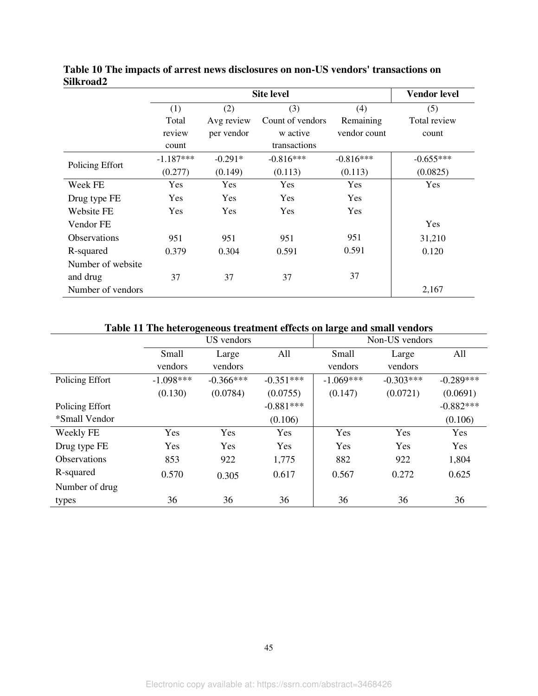|                     |             |            | <b>Site level</b> |              | <b>Vendor level</b> |
|---------------------|-------------|------------|-------------------|--------------|---------------------|
|                     | (1)         | (2)        | (3)               | (4)          | (5)                 |
|                     | Total       | Avg review | Count of vendors  | Remaining    | Total review        |
|                     | review      | per vendor | w active          | vendor count | count               |
|                     | count       |            | transactions      |              |                     |
| Policing Effort     | $-1.187***$ | $-0.291*$  | $-0.816***$       | $-0.816***$  | $-0.655***$         |
|                     | (0.277)     | (0.149)    | (0.113)           | (0.113)      | (0.0825)            |
| Week FE             | Yes         | Yes        | Yes               | Yes          | Yes                 |
| Drug type FE        | Yes         | Yes        | Yes               | Yes          |                     |
| Website FE          | Yes         | <b>Yes</b> | Yes               | Yes          |                     |
| Vendor FE           |             |            |                   |              | Yes                 |
| <b>Observations</b> | 951         | 951        | 951               | 951          | 31,210              |
| R-squared           | 0.379       | 0.304      | 0.591             | 0.591        | 0.120               |
| Number of website   |             |            |                   |              |                     |
| and drug            | 37          | 37         | 37                | 37           |                     |
| Number of vendors   |             |            |                   |              | 2,167               |

**Table 10 The impacts of arrest news disclosures on non-US vendors' transactions on Silkroad2** 

# **Table 11 The heterogeneous treatment effects on large and small vendors**

|                     | US vendors  |             |             | Non-US vendors |             |             |
|---------------------|-------------|-------------|-------------|----------------|-------------|-------------|
|                     | Small       | Large       | All         | Small          | Large       | All         |
|                     | vendors     | vendors     |             | vendors        | vendors     |             |
| Policing Effort     | $-1.098***$ | $-0.366***$ | $-0.351***$ | $-1.069***$    | $-0.303***$ | $-0.289***$ |
|                     | (0.130)     | (0.0784)    | (0.0755)    | (0.147)        | (0.0721)    | (0.0691)    |
| Policing Effort     |             |             | $-0.881***$ |                |             | $-0.882***$ |
| *Small Vendor       |             |             | (0.106)     |                |             | (0.106)     |
| Weekly FE           | Yes         | Yes         | Yes         | Yes            | Yes         | Yes         |
| Drug type FE        | Yes         | Yes         | Yes         | Yes            | Yes         | Yes         |
| <b>Observations</b> | 853         | 922         | 1,775       | 882            | 922         | 1,804       |
| R-squared           | 0.570       | 0.305       | 0.617       | 0.567          | 0.272       | 0.625       |
| Number of drug      |             |             |             |                |             |             |
| types               | 36          | 36          | 36          | 36             | 36          | 36          |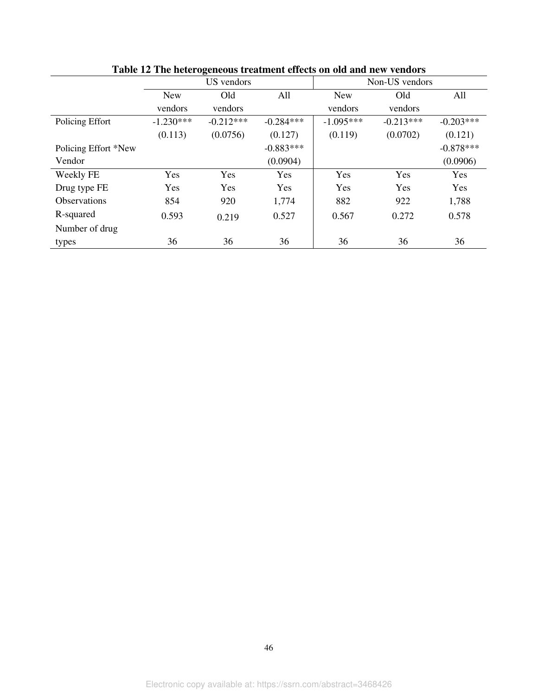|                      | US vendors  |             |             | Non-US vendors |             |             |
|----------------------|-------------|-------------|-------------|----------------|-------------|-------------|
|                      | <b>New</b>  | Old         | All         | <b>New</b>     | Old         | All         |
|                      | vendors     | vendors     |             | vendors        | vendors     |             |
| Policing Effort      | $-1.230***$ | $-0.212***$ | $-0.284***$ | $-1.095***$    | $-0.213***$ | $-0.203***$ |
|                      | (0.113)     | (0.0756)    | (0.127)     | (0.119)        | (0.0702)    | (0.121)     |
| Policing Effort *New |             |             | $-0.883***$ |                |             | $-0.878***$ |
| Vendor               |             |             | (0.0904)    |                |             | (0.0906)    |
| Weekly FE            | Yes         | Yes         | Yes         | Yes            | Yes         | Yes         |
| Drug type FE         | Yes         | Yes         | Yes         | Yes            | Yes         | Yes         |
| Observations         | 854         | 920         | 1,774       | 882            | 922         | 1,788       |
| R-squared            | 0.593       | 0.219       | 0.527       | 0.567          | 0.272       | 0.578       |
| Number of drug       |             |             |             |                |             |             |
| types                | 36          | 36          | 36          | 36             | 36          | 36          |

**Table 12 The heterogeneous treatment effects on old and new vendors**